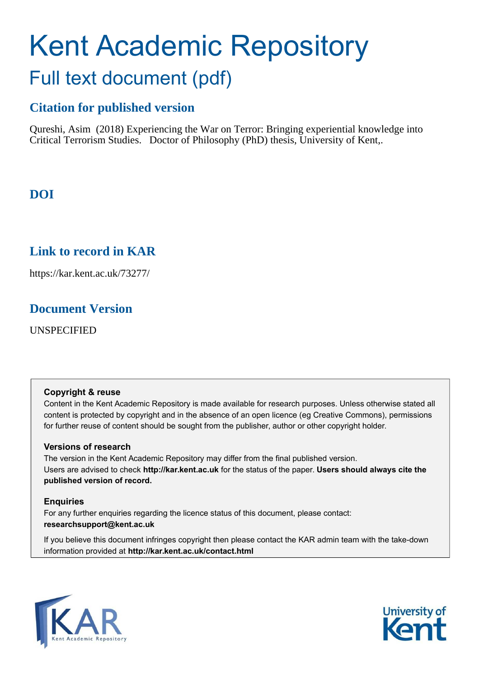## Kent Academic Repository Full text document (pdf)

## **Citation for published version**

Qureshi, Asim (2018) Experiencing the War on Terror: Bringing experiential knowledge into Critical Terrorism Studies. Doctor of Philosophy (PhD) thesis, University of Kent,.

## **DOI**

## **Link to record in KAR**

https://kar.kent.ac.uk/73277/

### **Document Version**

UNSPECIFIED

#### **Copyright & reuse**

Content in the Kent Academic Repository is made available for research purposes. Unless otherwise stated all content is protected by copyright and in the absence of an open licence (eg Creative Commons), permissions for further reuse of content should be sought from the publisher, author or other copyright holder.

#### **Versions of research**

The version in the Kent Academic Repository may differ from the final published version. Users are advised to check **http://kar.kent.ac.uk** for the status of the paper. **Users should always cite the published version of record.**

#### **Enquiries**

For any further enquiries regarding the licence status of this document, please contact: **researchsupport@kent.ac.uk**

If you believe this document infringes copyright then please contact the KAR admin team with the take-down information provided at **http://kar.kent.ac.uk/contact.html**



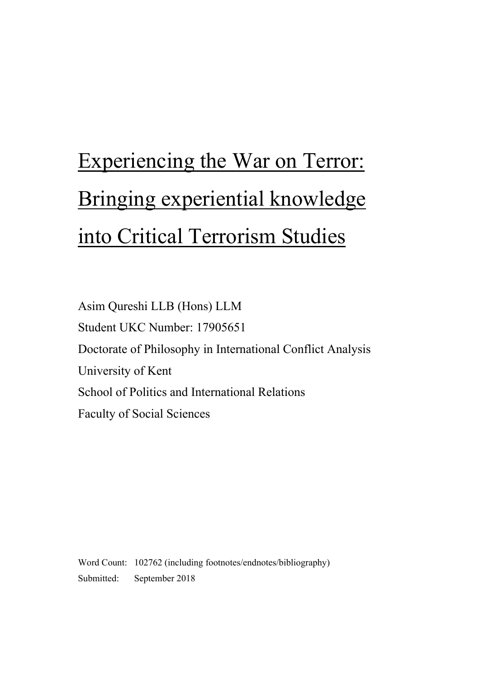# Experiencing the War on Terror: Bringing experiential knowledge into Critical Terrorism Studies

Asim Qureshi LLB (Hons) LLM Student UKC Number: 17905651 Doctorate of Philosophy in International Conflict Analysis University of Kent School of Politics and International Relations Faculty of Social Sciences

Word Count: 102762 (including footnotes/endnotes/bibliography) Submitted: September 2018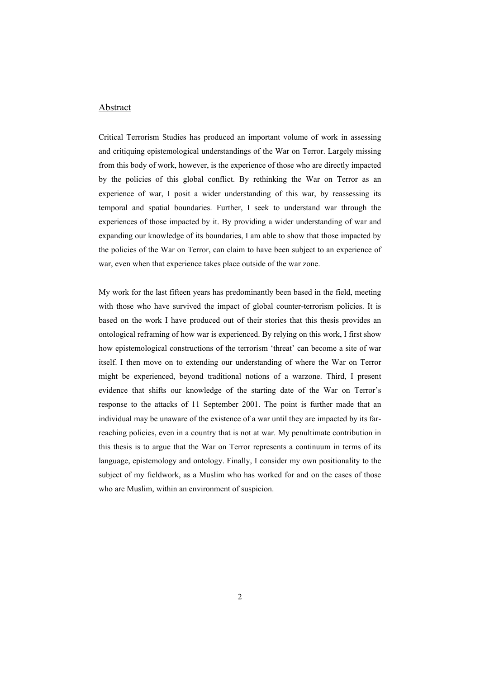#### Abstract

Critical Terrorism Studies has produced an important volume of work in assessing and critiquing epistemological understandings of the War on Terror. Largely missing from this body of work, however, is the experience of those who are directly impacted by the policies of this global conflict. By rethinking the War on Terror as an experience of war, I posit a wider understanding of this war, by reassessing its temporal and spatial boundaries. Further, I seek to understand war through the experiences of those impacted by it. By providing a wider understanding of war and expanding our knowledge of its boundaries, I am able to show that those impacted by the policies of the War on Terror, can claim to have been subject to an experience of war, even when that experience takes place outside of the war zone.

My work for the last fifteen years has predominantly been based in the field, meeting with those who have survived the impact of global counter-terrorism policies. It is based on the work I have produced out of their stories that this thesis provides an ontological reframing of how war is experienced. By relying on this work, I first show how epistemological constructions of the terrorism 'threat' can become a site of war itself. I then move on to extending our understanding of where the War on Terror might be experienced, beyond traditional notions of a warzone. Third, I present evidence that shifts our knowledge of the starting date of the War on Terror's response to the attacks of 11 September 2001. The point is further made that an individual may be unaware of the existence of a war until they are impacted by its farreaching policies, even in a country that is not at war. My penultimate contribution in this thesis is to argue that the War on Terror represents a continuum in terms of its language, epistemology and ontology. Finally, I consider my own positionality to the subject of my fieldwork, as a Muslim who has worked for and on the cases of those who are Muslim, within an environment of suspicion.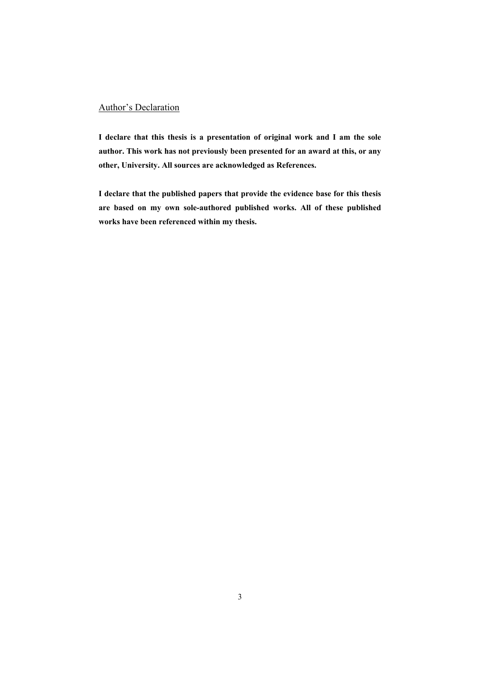#### Author's Declaration

**I declare that this thesis is a presentation of original work and I am the sole author. This work has not previously been presented for an award at this, or any other, University. All sources are acknowledged as References.**

**I declare that the published papers that provide the evidence base for this thesis are based on my own sole-authored published works. All of these published works have been referenced within my thesis.**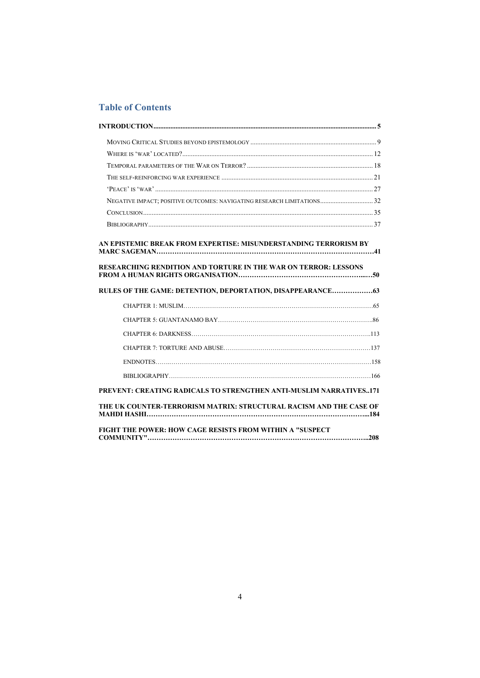#### **Table of Contents**

| NEGATIVE IMPACT; POSITIVE OUTCOMES: NAVIGATING RESEARCH LIMITATIONS 32                                                                     |  |
|--------------------------------------------------------------------------------------------------------------------------------------------|--|
|                                                                                                                                            |  |
|                                                                                                                                            |  |
| AN EPISTEMIC BREAK FROM EXPERTISE: MISUNDERSTANDING TERRORISM BY<br><b>RESEARCHING RENDITION AND TORTURE IN THE WAR ON TERROR: LESSONS</b> |  |
|                                                                                                                                            |  |
| RULES OF THE GAME: DETENTION, DEPORTATION, DISAPPEARANCE 63                                                                                |  |
|                                                                                                                                            |  |
|                                                                                                                                            |  |
|                                                                                                                                            |  |
|                                                                                                                                            |  |
|                                                                                                                                            |  |
|                                                                                                                                            |  |
| <b>PREVENT: CREATING RADICALS TO STRENGTHEN ANTI-MUSLIM NARRATIVES171</b>                                                                  |  |
|                                                                                                                                            |  |
| THE UK COUNTER-TERRORISM MATRIX: STRUCTURAL RACISM AND THE CASE OF                                                                         |  |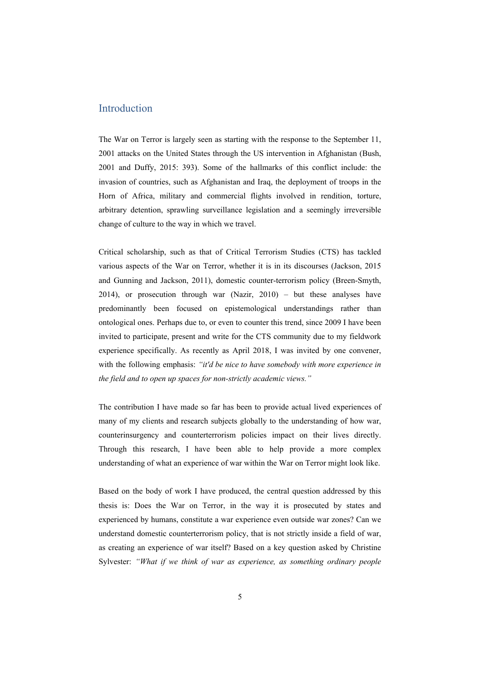#### Introduction

The War on Terror is largely seen as starting with the response to the September 11, 2001 attacks on the United States through the US intervention in Afghanistan (Bush, 2001 and Duffy, 2015: 393). Some of the hallmarks of this conflict include: the invasion of countries, such as Afghanistan and Iraq, the deployment of troops in the Horn of Africa, military and commercial flights involved in rendition, torture, arbitrary detention, sprawling surveillance legislation and a seemingly irreversible change of culture to the way in which we travel.

Critical scholarship, such as that of Critical Terrorism Studies (CTS) has tackled various aspects of the War on Terror, whether it is in its discourses (Jackson, 2015 and Gunning and Jackson, 2011), domestic counter-terrorism policy (Breen-Smyth, 2014), or prosecution through war (Nazir, 2010) – but these analyses have predominantly been focused on epistemological understandings rather than ontological ones. Perhaps due to, or even to counter this trend, since 2009 I have been invited to participate, present and write for the CTS community due to my fieldwork experience specifically. As recently as April 2018, I was invited by one convener, with the following emphasis: *"it'd be nice to have somebody with more experience in the field and to open up spaces for non-strictly academic views."*

The contribution I have made so far has been to provide actual lived experiences of many of my clients and research subjects globally to the understanding of how war, counterinsurgency and counterterrorism policies impact on their lives directly. Through this research, I have been able to help provide a more complex understanding of what an experience of war within the War on Terror might look like.

Based on the body of work I have produced, the central question addressed by this thesis is: Does the War on Terror, in the way it is prosecuted by states and experienced by humans, constitute a war experience even outside war zones? Can we understand domestic counterterrorism policy, that is not strictly inside a field of war, as creating an experience of war itself? Based on a key question asked by Christine Sylvester: *"What if we think of war as experience, as something ordinary people*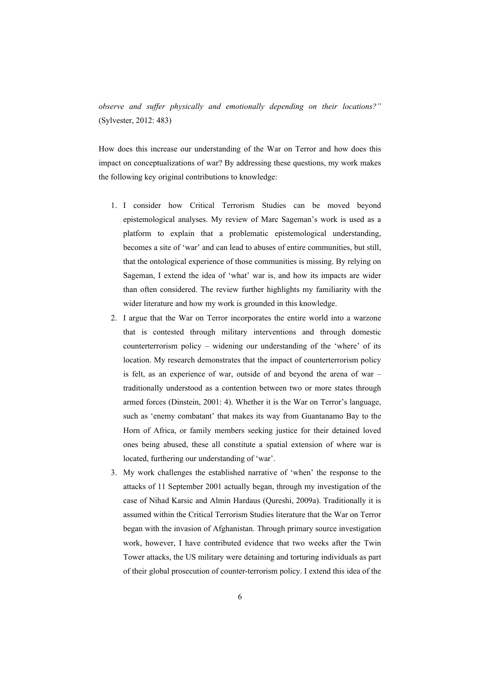*observe and suffer physically and emotionally depending on their locations?"* (Sylvester, 2012: 483)

How does this increase our understanding of the War on Terror and how does this impact on conceptualizations of war? By addressing these questions, my work makes the following key original contributions to knowledge:

- 1. I consider how Critical Terrorism Studies can be moved beyond epistemological analyses. My review of Marc Sageman's work is used as a platform to explain that a problematic epistemological understanding, becomes a site of 'war' and can lead to abuses of entire communities, but still, that the ontological experience of those communities is missing. By relying on Sageman, I extend the idea of 'what' war is, and how its impacts are wider than often considered. The review further highlights my familiarity with the wider literature and how my work is grounded in this knowledge.
- 2. I argue that the War on Terror incorporates the entire world into a warzone that is contested through military interventions and through domestic counterterrorism policy – widening our understanding of the 'where' of its location. My research demonstrates that the impact of counterterrorism policy is felt, as an experience of war, outside of and beyond the arena of war – traditionally understood as a contention between two or more states through armed forces (Dinstein, 2001: 4). Whether it is the War on Terror's language, such as 'enemy combatant' that makes its way from Guantanamo Bay to the Horn of Africa, or family members seeking justice for their detained loved ones being abused, these all constitute a spatial extension of where war is located, furthering our understanding of 'war'.
- 3. My work challenges the established narrative of 'when' the response to the attacks of 11 September 2001 actually began, through my investigation of the case of Nihad Karsic and Almin Hardaus (Qureshi, 2009a). Traditionally it is assumed within the Critical Terrorism Studies literature that the War on Terror began with the invasion of Afghanistan. Through primary source investigation work, however, I have contributed evidence that two weeks after the Twin Tower attacks, the US military were detaining and torturing individuals as part of their global prosecution of counter-terrorism policy. I extend this idea of the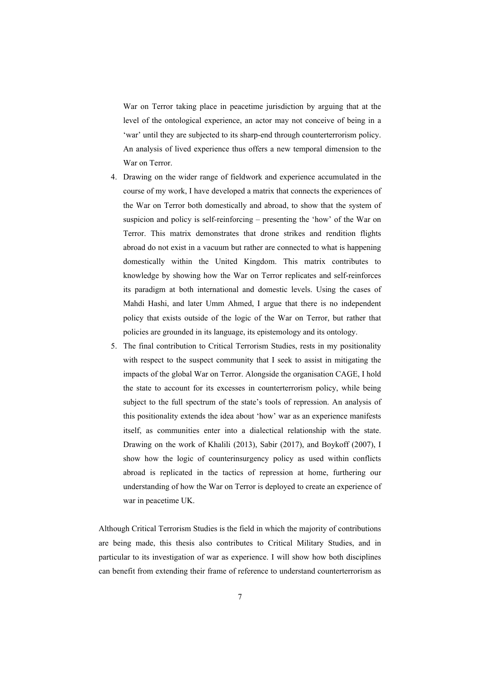War on Terror taking place in peacetime jurisdiction by arguing that at the level of the ontological experience, an actor may not conceive of being in a 'war' until they are subjected to its sharp-end through counterterrorism policy. An analysis of lived experience thus offers a new temporal dimension to the War on Terror.

- 4. Drawing on the wider range of fieldwork and experience accumulated in the course of my work, I have developed a matrix that connects the experiences of the War on Terror both domestically and abroad, to show that the system of suspicion and policy is self-reinforcing – presenting the 'how' of the War on Terror. This matrix demonstrates that drone strikes and rendition flights abroad do not exist in a vacuum but rather are connected to what is happening domestically within the United Kingdom. This matrix contributes to knowledge by showing how the War on Terror replicates and self-reinforces its paradigm at both international and domestic levels. Using the cases of Mahdi Hashi, and later Umm Ahmed, I argue that there is no independent policy that exists outside of the logic of the War on Terror, but rather that policies are grounded in its language, its epistemology and its ontology.
- 5. The final contribution to Critical Terrorism Studies, rests in my positionality with respect to the suspect community that I seek to assist in mitigating the impacts of the global War on Terror. Alongside the organisation CAGE, I hold the state to account for its excesses in counterterrorism policy, while being subject to the full spectrum of the state's tools of repression. An analysis of this positionality extends the idea about 'how' war as an experience manifests itself, as communities enter into a dialectical relationship with the state. Drawing on the work of Khalili (2013), Sabir (2017), and Boykoff (2007), I show how the logic of counterinsurgency policy as used within conflicts abroad is replicated in the tactics of repression at home, furthering our understanding of how the War on Terror is deployed to create an experience of war in peacetime UK.

Although Critical Terrorism Studies is the field in which the majority of contributions are being made, this thesis also contributes to Critical Military Studies, and in particular to its investigation of war as experience. I will show how both disciplines can benefit from extending their frame of reference to understand counterterrorism as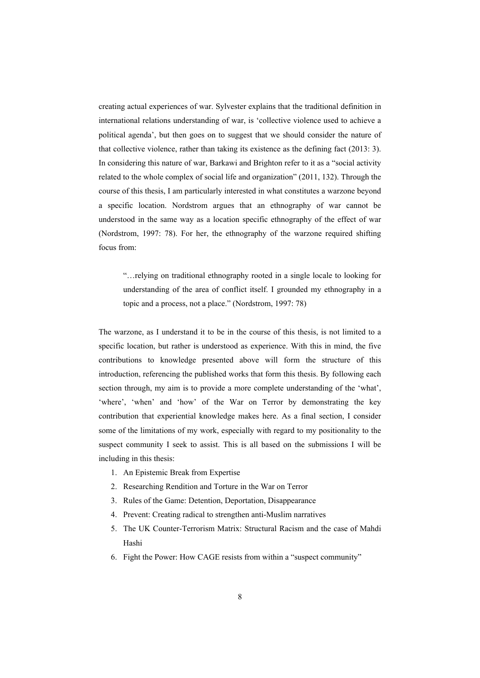creating actual experiences of war. Sylvester explains that the traditional definition in international relations understanding of war, is 'collective violence used to achieve a political agenda', but then goes on to suggest that we should consider the nature of that collective violence, rather than taking its existence as the defining fact (2013: 3). In considering this nature of war, Barkawi and Brighton refer to it as a "social activity related to the whole complex of social life and organization" (2011, 132). Through the course of this thesis, I am particularly interested in what constitutes a warzone beyond a specific location. Nordstrom argues that an ethnography of war cannot be understood in the same way as a location specific ethnography of the effect of war (Nordstrom, 1997: 78). For her, the ethnography of the warzone required shifting focus from:

"…relying on traditional ethnography rooted in a single locale to looking for understanding of the area of conflict itself. I grounded my ethnography in a topic and a process, not a place." (Nordstrom, 1997: 78)

The warzone, as I understand it to be in the course of this thesis, is not limited to a specific location, but rather is understood as experience. With this in mind, the five contributions to knowledge presented above will form the structure of this introduction, referencing the published works that form this thesis. By following each section through, my aim is to provide a more complete understanding of the 'what', 'where', 'when' and 'how' of the War on Terror by demonstrating the key contribution that experiential knowledge makes here. As a final section, I consider some of the limitations of my work, especially with regard to my positionality to the suspect community I seek to assist. This is all based on the submissions I will be including in this thesis:

- 1. An Epistemic Break from Expertise
- 2. Researching Rendition and Torture in the War on Terror
- 3. Rules of the Game: Detention, Deportation, Disappearance
- 4. Prevent: Creating radical to strengthen anti-Muslim narratives
- 5. The UK Counter-Terrorism Matrix: Structural Racism and the case of Mahdi Hashi
- 6. Fight the Power: How CAGE resists from within a "suspect community"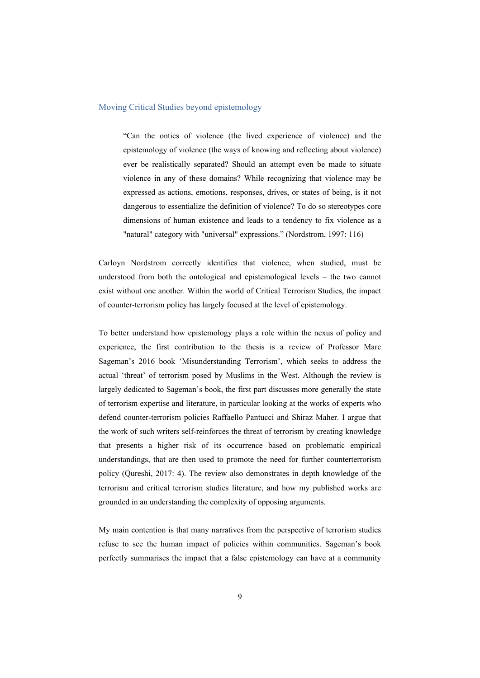#### Moving Critical Studies beyond epistemology

"Can the ontics of violence (the lived experience of violence) and the epistemology of violence (the ways of knowing and reflecting about violence) ever be realistically separated? Should an attempt even be made to situate violence in any of these domains? While recognizing that violence may be expressed as actions, emotions, responses, drives, or states of being, is it not dangerous to essentialize the definition of violence? To do so stereotypes core dimensions of human existence and leads to a tendency to fix violence as a "natural" category with "universal" expressions." (Nordstrom, 1997: 116)

Carloyn Nordstrom correctly identifies that violence, when studied, must be understood from both the ontological and epistemological levels – the two cannot exist without one another. Within the world of Critical Terrorism Studies, the impact of counter-terrorism policy has largely focused at the level of epistemology.

To better understand how epistemology plays a role within the nexus of policy and experience, the first contribution to the thesis is a review of Professor Marc Sageman's 2016 book 'Misunderstanding Terrorism', which seeks to address the actual 'threat' of terrorism posed by Muslims in the West. Although the review is largely dedicated to Sageman's book, the first part discusses more generally the state of terrorism expertise and literature, in particular looking at the works of experts who defend counter-terrorism policies Raffaello Pantucci and Shiraz Maher. I argue that the work of such writers self-reinforces the threat of terrorism by creating knowledge that presents a higher risk of its occurrence based on problematic empirical understandings, that are then used to promote the need for further counterterrorism policy (Qureshi, 2017: 4). The review also demonstrates in depth knowledge of the terrorism and critical terrorism studies literature, and how my published works are grounded in an understanding the complexity of opposing arguments.

My main contention is that many narratives from the perspective of terrorism studies refuse to see the human impact of policies within communities. Sageman's book perfectly summarises the impact that a false epistemology can have at a community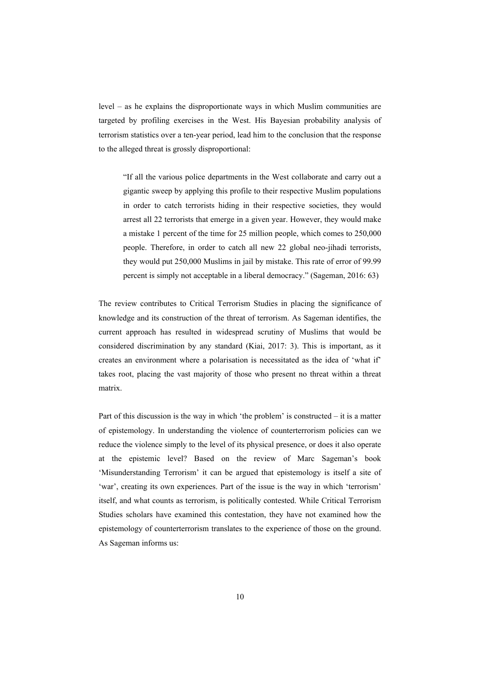level – as he explains the disproportionate ways in which Muslim communities are targeted by profiling exercises in the West. His Bayesian probability analysis of terrorism statistics over a ten-year period, lead him to the conclusion that the response to the alleged threat is grossly disproportional:

"If all the various police departments in the West collaborate and carry out a gigantic sweep by applying this profile to their respective Muslim populations in order to catch terrorists hiding in their respective societies, they would arrest all 22 terrorists that emerge in a given year. However, they would make a mistake 1 percent of the time for 25 million people, which comes to 250,000 people. Therefore, in order to catch all new 22 global neo-jihadi terrorists, they would put 250,000 Muslims in jail by mistake. This rate of error of 99.99 percent is simply not acceptable in a liberal democracy." (Sageman, 2016: 63)

The review contributes to Critical Terrorism Studies in placing the significance of knowledge and its construction of the threat of terrorism. As Sageman identifies, the current approach has resulted in widespread scrutiny of Muslims that would be considered discrimination by any standard (Kiai, 2017: 3). This is important, as it creates an environment where a polarisation is necessitated as the idea of 'what if' takes root, placing the vast majority of those who present no threat within a threat matrix.

Part of this discussion is the way in which 'the problem' is constructed – it is a matter of epistemology. In understanding the violence of counterterrorism policies can we reduce the violence simply to the level of its physical presence, or does it also operate at the epistemic level? Based on the review of Marc Sageman's book 'Misunderstanding Terrorism' it can be argued that epistemology is itself a site of 'war', creating its own experiences. Part of the issue is the way in which 'terrorism' itself, and what counts as terrorism, is politically contested. While Critical Terrorism Studies scholars have examined this contestation, they have not examined how the epistemology of counterterrorism translates to the experience of those on the ground. As Sageman informs us: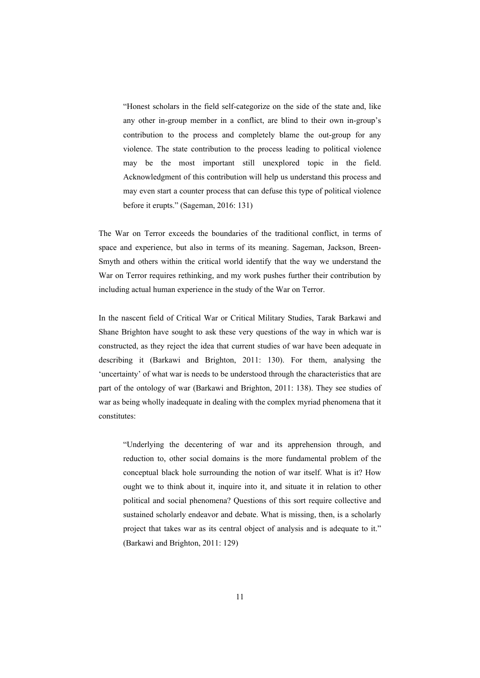"Honest scholars in the field self-categorize on the side of the state and, like any other in-group member in a conflict, are blind to their own in-group's contribution to the process and completely blame the out-group for any violence. The state contribution to the process leading to political violence may be the most important still unexplored topic in the field. Acknowledgment of this contribution will help us understand this process and may even start a counter process that can defuse this type of political violence before it erupts." (Sageman, 2016: 131)

The War on Terror exceeds the boundaries of the traditional conflict, in terms of space and experience, but also in terms of its meaning. Sageman, Jackson, Breen-Smyth and others within the critical world identify that the way we understand the War on Terror requires rethinking, and my work pushes further their contribution by including actual human experience in the study of the War on Terror.

In the nascent field of Critical War or Critical Military Studies, Tarak Barkawi and Shane Brighton have sought to ask these very questions of the way in which war is constructed, as they reject the idea that current studies of war have been adequate in describing it (Barkawi and Brighton, 2011: 130). For them, analysing the 'uncertainty' of what war is needs to be understood through the characteristics that are part of the ontology of war (Barkawi and Brighton, 2011: 138). They see studies of war as being wholly inadequate in dealing with the complex myriad phenomena that it constitutes:

"Underlying the decentering of war and its apprehension through, and reduction to, other social domains is the more fundamental problem of the conceptual black hole surrounding the notion of war itself. What is it? How ought we to think about it, inquire into it, and situate it in relation to other political and social phenomena? Questions of this sort require collective and sustained scholarly endeavor and debate. What is missing, then, is a scholarly project that takes war as its central object of analysis and is adequate to it." (Barkawi and Brighton, 2011: 129)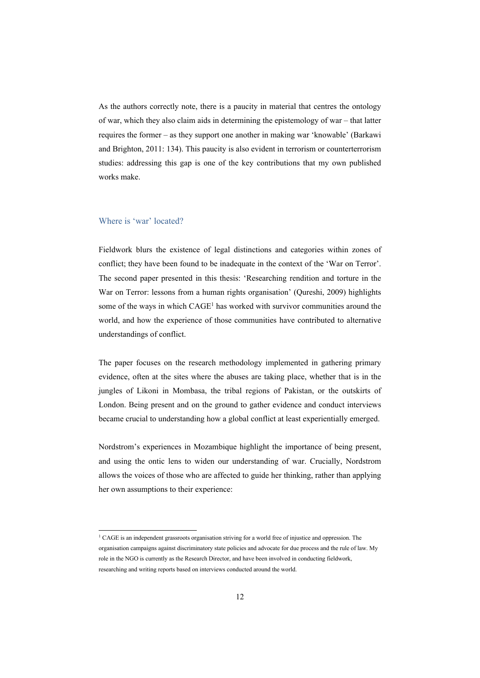As the authors correctly note, there is a paucity in material that centres the ontology of war, which they also claim aids in determining the epistemology of war – that latter requires the former – as they support one another in making war 'knowable' (Barkawi and Brighton, 2011: 134). This paucity is also evident in terrorism or counterterrorism studies: addressing this gap is one of the key contributions that my own published works make.

#### Where is 'war' located?

<u> 1989 - Johann Barn, mars ann an t-Alban ann an t-Alban ann an t-Alban ann an t-Alban ann an t-Alban ann an t-</u>

Fieldwork blurs the existence of legal distinctions and categories within zones of conflict; they have been found to be inadequate in the context of the 'War on Terror'. The second paper presented in this thesis: 'Researching rendition and torture in the War on Terror: lessons from a human rights organisation' (Qureshi, 2009) highlights some of the ways in which CAGE<sup>1</sup> has worked with survivor communities around the world, and how the experience of those communities have contributed to alternative understandings of conflict.

The paper focuses on the research methodology implemented in gathering primary evidence, often at the sites where the abuses are taking place, whether that is in the jungles of Likoni in Mombasa, the tribal regions of Pakistan, or the outskirts of London. Being present and on the ground to gather evidence and conduct interviews became crucial to understanding how a global conflict at least experientially emerged.

Nordstrom's experiences in Mozambique highlight the importance of being present, and using the ontic lens to widen our understanding of war. Crucially, Nordstrom allows the voices of those who are affected to guide her thinking, rather than applying her own assumptions to their experience:

<sup>&</sup>lt;sup>1</sup> CAGE is an independent grassroots organisation striving for a world free of injustice and oppression. The organisation campaigns against discriminatory state policies and advocate for due process and the rule of law. My role in the NGO is currently as the Research Director, and have been involved in conducting fieldwork, researching and writing reports based on interviews conducted around the world.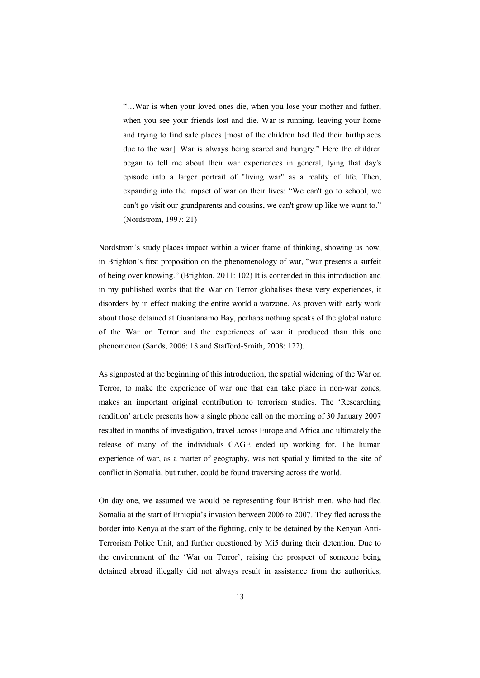"…War is when your loved ones die, when you lose your mother and father, when you see your friends lost and die. War is running, leaving your home and trying to find safe places [most of the children had fled their birthplaces due to the war]. War is always being scared and hungry." Here the children began to tell me about their war experiences in general, tying that day's episode into a larger portrait of "living war" as a reality of life. Then, expanding into the impact of war on their lives: "We can't go to school, we can't go visit our grandparents and cousins, we can't grow up like we want to." (Nordstrom, 1997: 21)

Nordstrom's study places impact within a wider frame of thinking, showing us how, in Brighton's first proposition on the phenomenology of war, "war presents a surfeit of being over knowing." (Brighton, 2011: 102) It is contended in this introduction and in my published works that the War on Terror globalises these very experiences, it disorders by in effect making the entire world a warzone. As proven with early work about those detained at Guantanamo Bay, perhaps nothing speaks of the global nature of the War on Terror and the experiences of war it produced than this one phenomenon (Sands, 2006: 18 and Stafford-Smith, 2008: 122).

As signposted at the beginning of this introduction, the spatial widening of the War on Terror, to make the experience of war one that can take place in non-war zones, makes an important original contribution to terrorism studies. The 'Researching rendition' article presents how a single phone call on the morning of 30 January 2007 resulted in months of investigation, travel across Europe and Africa and ultimately the release of many of the individuals CAGE ended up working for. The human experience of war, as a matter of geography, was not spatially limited to the site of conflict in Somalia, but rather, could be found traversing across the world.

On day one, we assumed we would be representing four British men, who had fled Somalia at the start of Ethiopia's invasion between 2006 to 2007. They fled across the border into Kenya at the start of the fighting, only to be detained by the Kenyan Anti-Terrorism Police Unit, and further questioned by Mi5 during their detention. Due to the environment of the 'War on Terror', raising the prospect of someone being detained abroad illegally did not always result in assistance from the authorities,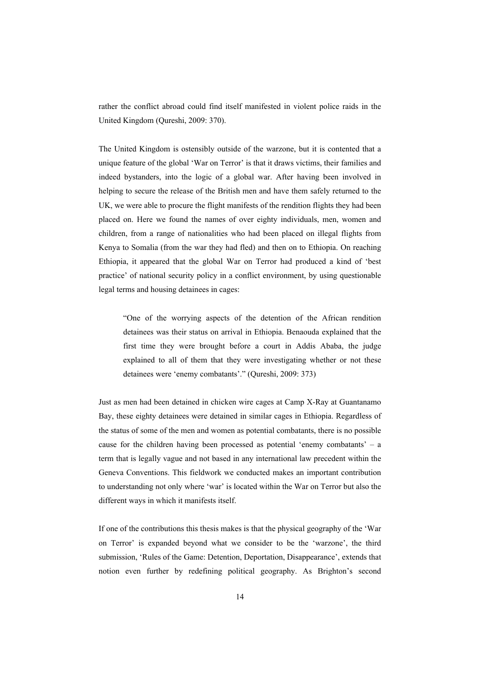rather the conflict abroad could find itself manifested in violent police raids in the United Kingdom (Qureshi, 2009: 370).

The United Kingdom is ostensibly outside of the warzone, but it is contented that a unique feature of the global 'War on Terror' is that it draws victims, their families and indeed bystanders, into the logic of a global war. After having been involved in helping to secure the release of the British men and have them safely returned to the UK, we were able to procure the flight manifests of the rendition flights they had been placed on. Here we found the names of over eighty individuals, men, women and children, from a range of nationalities who had been placed on illegal flights from Kenya to Somalia (from the war they had fled) and then on to Ethiopia. On reaching Ethiopia, it appeared that the global War on Terror had produced a kind of 'best practice' of national security policy in a conflict environment, by using questionable legal terms and housing detainees in cages:

"One of the worrying aspects of the detention of the African rendition detainees was their status on arrival in Ethiopia. Benaouda explained that the first time they were brought before a court in Addis Ababa, the judge explained to all of them that they were investigating whether or not these detainees were 'enemy combatants'." (Qureshi, 2009: 373)

Just as men had been detained in chicken wire cages at Camp X-Ray at Guantanamo Bay, these eighty detainees were detained in similar cages in Ethiopia. Regardless of the status of some of the men and women as potential combatants, there is no possible cause for the children having been processed as potential 'enemy combatants' – a term that is legally vague and not based in any international law precedent within the Geneva Conventions. This fieldwork we conducted makes an important contribution to understanding not only where 'war' is located within the War on Terror but also the different ways in which it manifests itself.

If one of the contributions this thesis makes is that the physical geography of the 'War on Terror' is expanded beyond what we consider to be the 'warzone', the third submission, 'Rules of the Game: Detention, Deportation, Disappearance', extends that notion even further by redefining political geography. As Brighton's second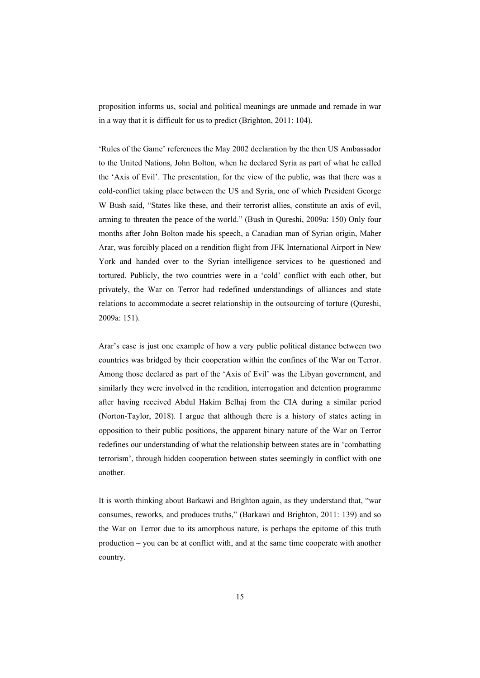proposition informs us, social and political meanings are unmade and remade in war in a way that it is difficult for us to predict (Brighton, 2011: 104).

'Rules of the Game' references the May 2002 declaration by the then US Ambassador to the United Nations, John Bolton, when he declared Syria as part of what he called the 'Axis of Evil'. The presentation, for the view of the public, was that there was a cold-conflict taking place between the US and Syria, one of which President George W Bush said, "States like these, and their terrorist allies, constitute an axis of evil, arming to threaten the peace of the world." (Bush in Qureshi, 2009a: 150) Only four months after John Bolton made his speech, a Canadian man of Syrian origin, Maher Arar, was forcibly placed on a rendition flight from JFK International Airport in New York and handed over to the Syrian intelligence services to be questioned and tortured. Publicly, the two countries were in a 'cold' conflict with each other, but privately, the War on Terror had redefined understandings of alliances and state relations to accommodate a secret relationship in the outsourcing of torture (Qureshi, 2009a: 151).

Arar's case is just one example of how a very public political distance between two countries was bridged by their cooperation within the confines of the War on Terror. Among those declared as part of the 'Axis of Evil' was the Libyan government, and similarly they were involved in the rendition, interrogation and detention programme after having received Abdul Hakim Belhaj from the CIA during a similar period (Norton-Taylor, 2018). I argue that although there is a history of states acting in opposition to their public positions, the apparent binary nature of the War on Terror redefines our understanding of what the relationship between states are in 'combatting terrorism', through hidden cooperation between states seemingly in conflict with one another.

It is worth thinking about Barkawi and Brighton again, as they understand that, "war consumes, reworks, and produces truths," (Barkawi and Brighton, 2011: 139) and so the War on Terror due to its amorphous nature, is perhaps the epitome of this truth production – you can be at conflict with, and at the same time cooperate with another country.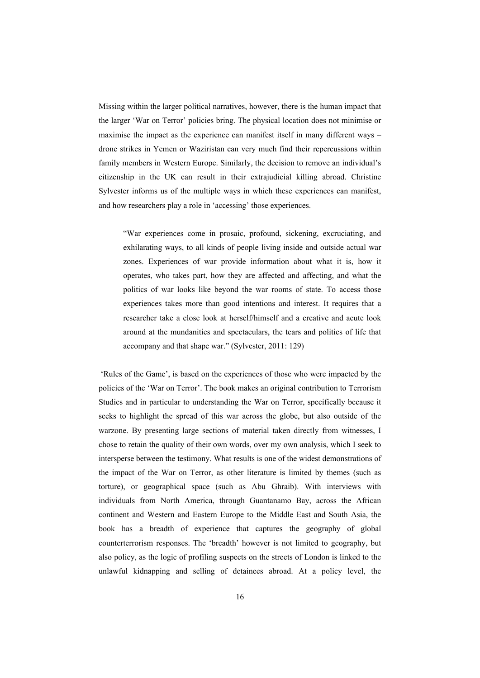Missing within the larger political narratives, however, there is the human impact that the larger 'War on Terror' policies bring. The physical location does not minimise or maximise the impact as the experience can manifest itself in many different ways – drone strikes in Yemen or Waziristan can very much find their repercussions within family members in Western Europe. Similarly, the decision to remove an individual's citizenship in the UK can result in their extrajudicial killing abroad. Christine Sylvester informs us of the multiple ways in which these experiences can manifest, and how researchers play a role in 'accessing' those experiences.

"War experiences come in prosaic, profound, sickening, excruciating, and exhilarating ways, to all kinds of people living inside and outside actual war zones. Experiences of war provide information about what it is, how it operates, who takes part, how they are affected and affecting, and what the politics of war looks like beyond the war rooms of state. To access those experiences takes more than good intentions and interest. It requires that a researcher take a close look at herself/himself and a creative and acute look around at the mundanities and spectaculars, the tears and politics of life that accompany and that shape war." (Sylvester, 2011: 129)

'Rules of the Game', is based on the experiences of those who were impacted by the policies of the 'War on Terror'. The book makes an original contribution to Terrorism Studies and in particular to understanding the War on Terror, specifically because it seeks to highlight the spread of this war across the globe, but also outside of the warzone. By presenting large sections of material taken directly from witnesses, I chose to retain the quality of their own words, over my own analysis, which I seek to intersperse between the testimony. What results is one of the widest demonstrations of the impact of the War on Terror, as other literature is limited by themes (such as torture), or geographical space (such as Abu Ghraib). With interviews with individuals from North America, through Guantanamo Bay, across the African continent and Western and Eastern Europe to the Middle East and South Asia, the book has a breadth of experience that captures the geography of global counterterrorism responses. The 'breadth' however is not limited to geography, but also policy, as the logic of profiling suspects on the streets of London is linked to the unlawful kidnapping and selling of detainees abroad. At a policy level, the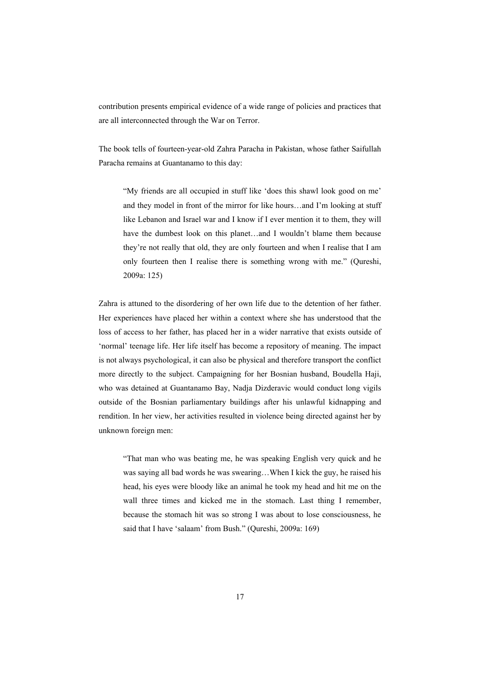contribution presents empirical evidence of a wide range of policies and practices that are all interconnected through the War on Terror.

The book tells of fourteen-year-old Zahra Paracha in Pakistan, whose father Saifullah Paracha remains at Guantanamo to this day:

"My friends are all occupied in stuff like 'does this shawl look good on me' and they model in front of the mirror for like hours…and I'm looking at stuff like Lebanon and Israel war and I know if I ever mention it to them, they will have the dumbest look on this planet…and I wouldn't blame them because they're not really that old, they are only fourteen and when I realise that I am only fourteen then I realise there is something wrong with me." (Qureshi, 2009a: 125)

Zahra is attuned to the disordering of her own life due to the detention of her father. Her experiences have placed her within a context where she has understood that the loss of access to her father, has placed her in a wider narrative that exists outside of 'normal' teenage life. Her life itself has become a repository of meaning. The impact is not always psychological, it can also be physical and therefore transport the conflict more directly to the subject. Campaigning for her Bosnian husband, Boudella Haji, who was detained at Guantanamo Bay, Nadja Dizderavic would conduct long vigils outside of the Bosnian parliamentary buildings after his unlawful kidnapping and rendition. In her view, her activities resulted in violence being directed against her by unknown foreign men:

"That man who was beating me, he was speaking English very quick and he was saying all bad words he was swearing…When I kick the guy, he raised his head, his eyes were bloody like an animal he took my head and hit me on the wall three times and kicked me in the stomach. Last thing I remember, because the stomach hit was so strong I was about to lose consciousness, he said that I have 'salaam' from Bush." (Qureshi, 2009a: 169)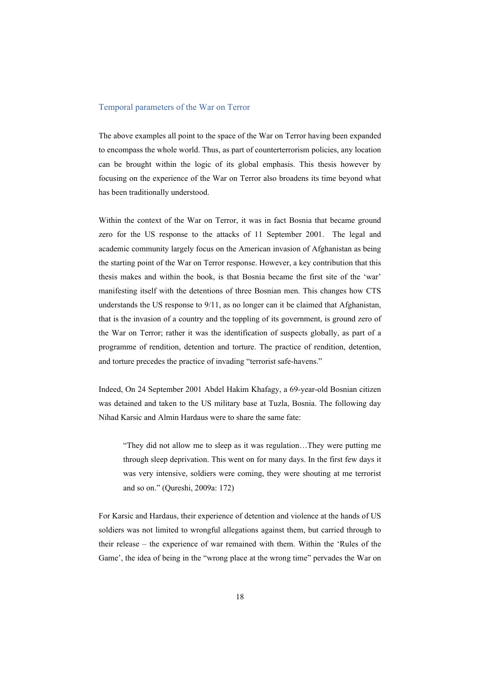#### Temporal parameters of the War on Terror

The above examples all point to the space of the War on Terror having been expanded to encompass the whole world. Thus, as part of counterterrorism policies, any location can be brought within the logic of its global emphasis. This thesis however by focusing on the experience of the War on Terror also broadens its time beyond what has been traditionally understood.

Within the context of the War on Terror, it was in fact Bosnia that became ground zero for the US response to the attacks of 11 September 2001. The legal and academic community largely focus on the American invasion of Afghanistan as being the starting point of the War on Terror response. However, a key contribution that this thesis makes and within the book, is that Bosnia became the first site of the 'war' manifesting itself with the detentions of three Bosnian men. This changes how CTS understands the US response to 9/11, as no longer can it be claimed that Afghanistan, that is the invasion of a country and the toppling of its government, is ground zero of the War on Terror; rather it was the identification of suspects globally, as part of a programme of rendition, detention and torture. The practice of rendition, detention, and torture precedes the practice of invading "terrorist safe-havens."

Indeed, On 24 September 2001 Abdel Hakim Khafagy, a 69-year-old Bosnian citizen was detained and taken to the US military base at Tuzla, Bosnia. The following day Nihad Karsic and Almin Hardaus were to share the same fate:

"They did not allow me to sleep as it was regulation…They were putting me through sleep deprivation. This went on for many days. In the first few days it was very intensive, soldiers were coming, they were shouting at me terrorist and so on." (Qureshi, 2009a: 172)

For Karsic and Hardaus, their experience of detention and violence at the hands of US soldiers was not limited to wrongful allegations against them, but carried through to their release – the experience of war remained with them. Within the 'Rules of the Game', the idea of being in the "wrong place at the wrong time" pervades the War on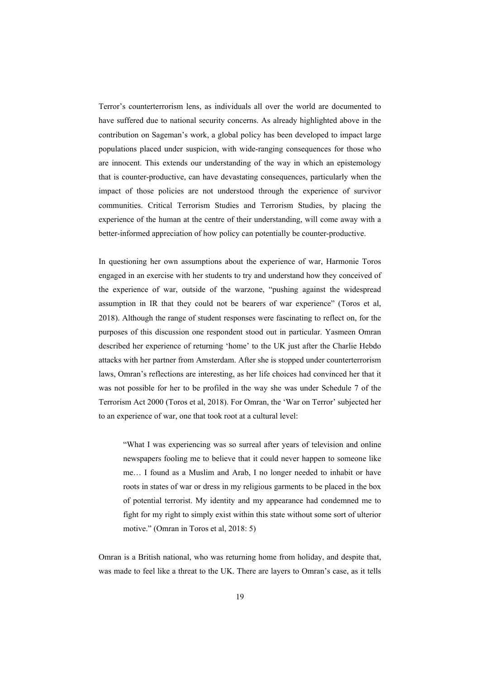Terror's counterterrorism lens, as individuals all over the world are documented to have suffered due to national security concerns. As already highlighted above in the contribution on Sageman's work, a global policy has been developed to impact large populations placed under suspicion, with wide-ranging consequences for those who are innocent. This extends our understanding of the way in which an epistemology that is counter-productive, can have devastating consequences, particularly when the impact of those policies are not understood through the experience of survivor communities. Critical Terrorism Studies and Terrorism Studies, by placing the experience of the human at the centre of their understanding, will come away with a better-informed appreciation of how policy can potentially be counter-productive.

In questioning her own assumptions about the experience of war, Harmonie Toros engaged in an exercise with her students to try and understand how they conceived of the experience of war, outside of the warzone, "pushing against the widespread assumption in IR that they could not be bearers of war experience" (Toros et al, 2018). Although the range of student responses were fascinating to reflect on, for the purposes of this discussion one respondent stood out in particular. Yasmeen Omran described her experience of returning 'home' to the UK just after the Charlie Hebdo attacks with her partner from Amsterdam. After she is stopped under counterterrorism laws, Omran's reflections are interesting, as her life choices had convinced her that it was not possible for her to be profiled in the way she was under Schedule 7 of the Terrorism Act 2000 (Toros et al, 2018). For Omran, the 'War on Terror' subjected her to an experience of war, one that took root at a cultural level:

"What I was experiencing was so surreal after years of television and online newspapers fooling me to believe that it could never happen to someone like me… I found as a Muslim and Arab, I no longer needed to inhabit or have roots in states of war or dress in my religious garments to be placed in the box of potential terrorist. My identity and my appearance had condemned me to fight for my right to simply exist within this state without some sort of ulterior motive." (Omran in Toros et al, 2018: 5)

Omran is a British national, who was returning home from holiday, and despite that, was made to feel like a threat to the UK. There are layers to Omran's case, as it tells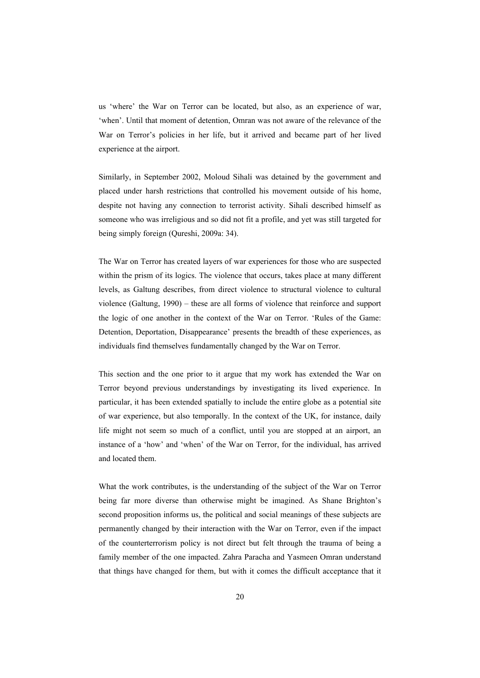us 'where' the War on Terror can be located, but also, as an experience of war, 'when'. Until that moment of detention, Omran was not aware of the relevance of the War on Terror's policies in her life, but it arrived and became part of her lived experience at the airport.

Similarly, in September 2002, Moloud Sihali was detained by the government and placed under harsh restrictions that controlled his movement outside of his home, despite not having any connection to terrorist activity. Sihali described himself as someone who was irreligious and so did not fit a profile, and yet was still targeted for being simply foreign (Qureshi, 2009a: 34).

The War on Terror has created layers of war experiences for those who are suspected within the prism of its logics. The violence that occurs, takes place at many different levels, as Galtung describes, from direct violence to structural violence to cultural violence (Galtung, 1990) – these are all forms of violence that reinforce and support the logic of one another in the context of the War on Terror. 'Rules of the Game: Detention, Deportation, Disappearance' presents the breadth of these experiences, as individuals find themselves fundamentally changed by the War on Terror.

This section and the one prior to it argue that my work has extended the War on Terror beyond previous understandings by investigating its lived experience. In particular, it has been extended spatially to include the entire globe as a potential site of war experience, but also temporally. In the context of the UK, for instance, daily life might not seem so much of a conflict, until you are stopped at an airport, an instance of a 'how' and 'when' of the War on Terror, for the individual, has arrived and located them.

What the work contributes, is the understanding of the subject of the War on Terror being far more diverse than otherwise might be imagined. As Shane Brighton's second proposition informs us, the political and social meanings of these subjects are permanently changed by their interaction with the War on Terror, even if the impact of the counterterrorism policy is not direct but felt through the trauma of being a family member of the one impacted. Zahra Paracha and Yasmeen Omran understand that things have changed for them, but with it comes the difficult acceptance that it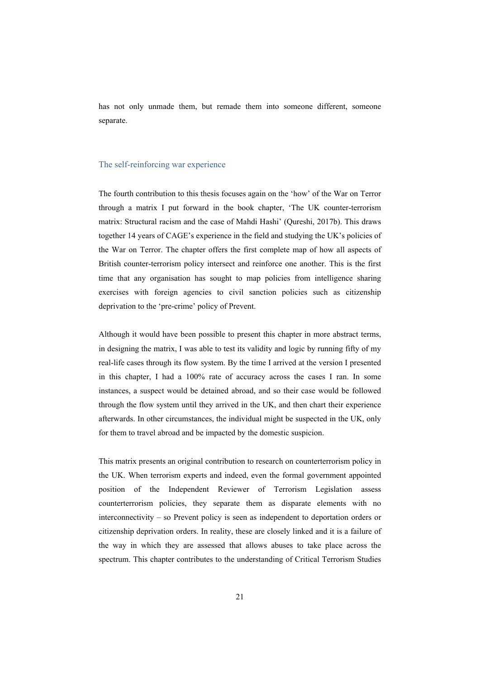has not only unmade them, but remade them into someone different, someone separate.

#### The self-reinforcing war experience

The fourth contribution to this thesis focuses again on the 'how' of the War on Terror through a matrix I put forward in the book chapter, 'The UK counter-terrorism matrix: Structural racism and the case of Mahdi Hashi' (Qureshi, 2017b). This draws together 14 years of CAGE's experience in the field and studying the UK's policies of the War on Terror. The chapter offers the first complete map of how all aspects of British counter-terrorism policy intersect and reinforce one another. This is the first time that any organisation has sought to map policies from intelligence sharing exercises with foreign agencies to civil sanction policies such as citizenship deprivation to the 'pre-crime' policy of Prevent.

Although it would have been possible to present this chapter in more abstract terms, in designing the matrix, I was able to test its validity and logic by running fifty of my real-life cases through its flow system. By the time I arrived at the version I presented in this chapter, I had a 100% rate of accuracy across the cases I ran. In some instances, a suspect would be detained abroad, and so their case would be followed through the flow system until they arrived in the UK, and then chart their experience afterwards. In other circumstances, the individual might be suspected in the UK, only for them to travel abroad and be impacted by the domestic suspicion.

This matrix presents an original contribution to research on counterterrorism policy in the UK. When terrorism experts and indeed, even the formal government appointed position of the Independent Reviewer of Terrorism Legislation assess counterterrorism policies, they separate them as disparate elements with no interconnectivity – so Prevent policy is seen as independent to deportation orders or citizenship deprivation orders. In reality, these are closely linked and it is a failure of the way in which they are assessed that allows abuses to take place across the spectrum. This chapter contributes to the understanding of Critical Terrorism Studies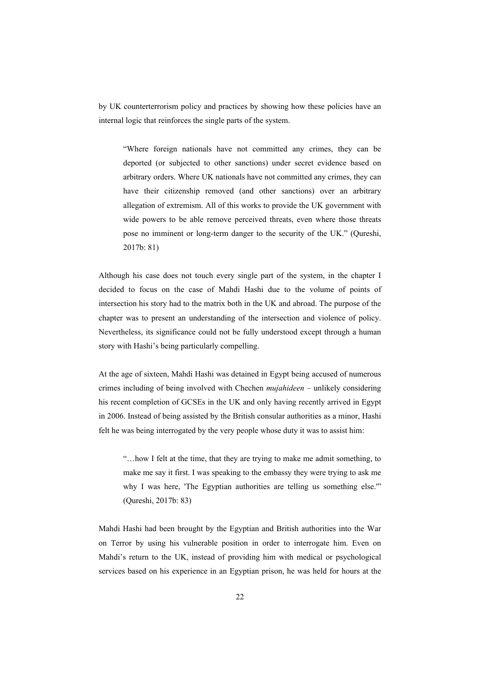by UK counterterrorism policy and practices by showing how these policies have an internal logic that reinforces the single parts of the system.

"Where foreign nationals have not committed any crimes, they can be deported (or subjected to other sanctions) under secret evidence based on arbitrary orders. Where UK nationals have not committed any crimes, they can have their citizenship removed (and other sanctions) over an arbitrary allegation of extremism. All of this works to provide the UK government with wide powers to be able remove perceived threats, even where those threats pose no imminent or long-term danger to the security of the UK." (Qureshi, 2017b: 81)

Although his case does not touch every single part of the system, in the chapter I decided to focus on the case of Mahdi Hashi due to the volume of points of intersection his story had to the matrix both in the UK and abroad. The purpose of the chapter was to present an understanding of the intersection and violence of policy. Nevertheless, its significance could not be fully understood except through a human story with Hashi's being particularly compelling.

At the age of sixteen, Mahdi Hashi was detained in Egypt being accused of numerous crimes including of being involved with Chechen *mujahideen* – unlikely considering his recent completion of GCSEs in the UK and only having recently arrived in Egypt in 2006. Instead of being assisted by the British consular authorities as a minor, Hashi felt he was being interrogated by the very people whose duty it was to assist him:

"…how I felt at the time, that they are trying to make me admit something, to make me say it first. I was speaking to the embassy they were trying to ask me why I was here, 'The Egyptian authorities are telling us something else.'" (Qureshi, 2017b: 83)

Mahdi Hashi had been brought by the Egyptian and British authorities into the War on Terror by using his vulnerable position in order to interrogate him. Even on Mahdi's return to the UK, instead of providing him with medical or psychological services based on his experience in an Egyptian prison, he was held for hours at the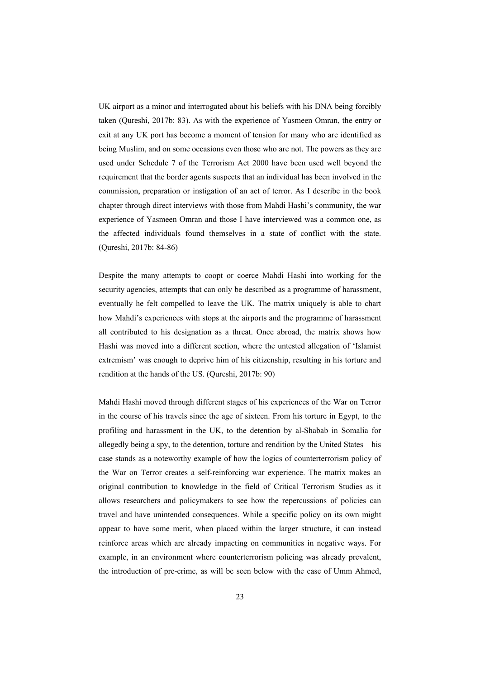UK airport as a minor and interrogated about his beliefs with his DNA being forcibly taken (Qureshi, 2017b: 83). As with the experience of Yasmeen Omran, the entry or exit at any UK port has become a moment of tension for many who are identified as being Muslim, and on some occasions even those who are not. The powers as they are used under Schedule 7 of the Terrorism Act 2000 have been used well beyond the requirement that the border agents suspects that an individual has been involved in the commission, preparation or instigation of an act of terror. As I describe in the book chapter through direct interviews with those from Mahdi Hashi's community, the war experience of Yasmeen Omran and those I have interviewed was a common one, as the affected individuals found themselves in a state of conflict with the state. (Qureshi, 2017b: 84-86)

Despite the many attempts to coopt or coerce Mahdi Hashi into working for the security agencies, attempts that can only be described as a programme of harassment, eventually he felt compelled to leave the UK. The matrix uniquely is able to chart how Mahdi's experiences with stops at the airports and the programme of harassment all contributed to his designation as a threat. Once abroad, the matrix shows how Hashi was moved into a different section, where the untested allegation of 'Islamist extremism' was enough to deprive him of his citizenship, resulting in his torture and rendition at the hands of the US. (Qureshi, 2017b: 90)

Mahdi Hashi moved through different stages of his experiences of the War on Terror in the course of his travels since the age of sixteen. From his torture in Egypt, to the profiling and harassment in the UK, to the detention by al-Shabab in Somalia for allegedly being a spy, to the detention, torture and rendition by the United States – his case stands as a noteworthy example of how the logics of counterterrorism policy of the War on Terror creates a self-reinforcing war experience. The matrix makes an original contribution to knowledge in the field of Critical Terrorism Studies as it allows researchers and policymakers to see how the repercussions of policies can travel and have unintended consequences. While a specific policy on its own might appear to have some merit, when placed within the larger structure, it can instead reinforce areas which are already impacting on communities in negative ways. For example, in an environment where counterterrorism policing was already prevalent, the introduction of pre-crime, as will be seen below with the case of Umm Ahmed,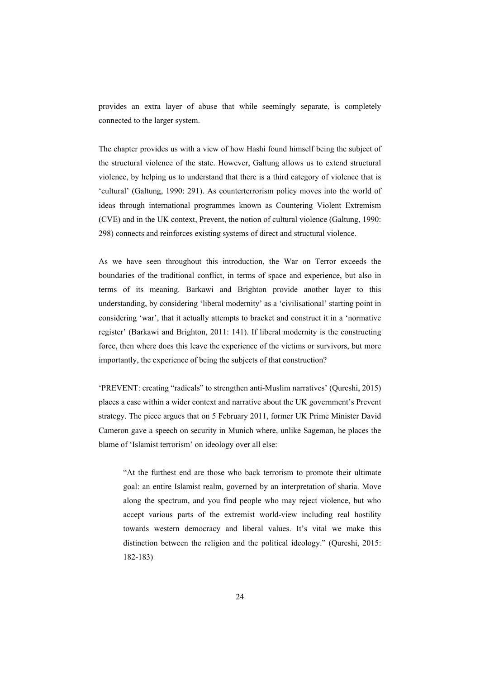provides an extra layer of abuse that while seemingly separate, is completely connected to the larger system.

The chapter provides us with a view of how Hashi found himself being the subject of the structural violence of the state. However, Galtung allows us to extend structural violence, by helping us to understand that there is a third category of violence that is 'cultural' (Galtung, 1990: 291). As counterterrorism policy moves into the world of ideas through international programmes known as Countering Violent Extremism (CVE) and in the UK context, Prevent, the notion of cultural violence (Galtung, 1990: 298) connects and reinforces existing systems of direct and structural violence.

As we have seen throughout this introduction, the War on Terror exceeds the boundaries of the traditional conflict, in terms of space and experience, but also in terms of its meaning. Barkawi and Brighton provide another layer to this understanding, by considering 'liberal modernity' as a 'civilisational' starting point in considering 'war', that it actually attempts to bracket and construct it in a 'normative register' (Barkawi and Brighton, 2011: 141). If liberal modernity is the constructing force, then where does this leave the experience of the victims or survivors, but more importantly, the experience of being the subjects of that construction?

'PREVENT: creating "radicals" to strengthen anti-Muslim narratives' (Qureshi, 2015) places a case within a wider context and narrative about the UK government's Prevent strategy. The piece argues that on 5 February 2011, former UK Prime Minister David Cameron gave a speech on security in Munich where, unlike Sageman, he places the blame of 'Islamist terrorism' on ideology over all else:

"At the furthest end are those who back terrorism to promote their ultimate goal: an entire Islamist realm, governed by an interpretation of sharia. Move along the spectrum, and you find people who may reject violence, but who accept various parts of the extremist world-view including real hostility towards western democracy and liberal values. It's vital we make this distinction between the religion and the political ideology." (Qureshi, 2015: 182-183)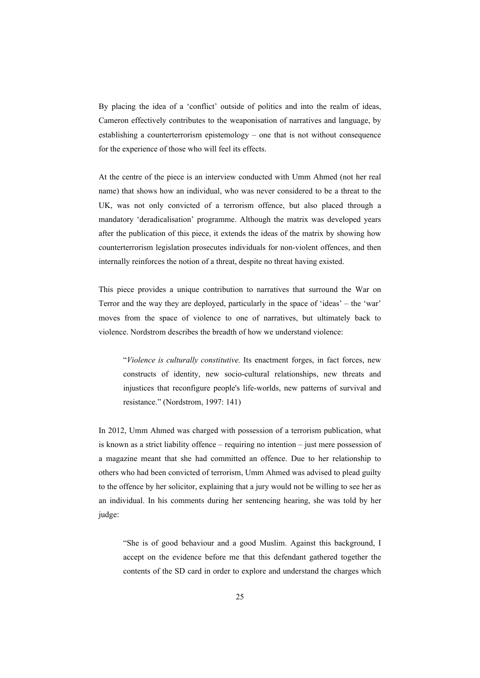By placing the idea of a 'conflict' outside of politics and into the realm of ideas, Cameron effectively contributes to the weaponisation of narratives and language, by establishing a counterterrorism epistemology – one that is not without consequence for the experience of those who will feel its effects.

At the centre of the piece is an interview conducted with Umm Ahmed (not her real name) that shows how an individual, who was never considered to be a threat to the UK, was not only convicted of a terrorism offence, but also placed through a mandatory 'deradicalisation' programme. Although the matrix was developed years after the publication of this piece, it extends the ideas of the matrix by showing how counterterrorism legislation prosecutes individuals for non-violent offences, and then internally reinforces the notion of a threat, despite no threat having existed.

This piece provides a unique contribution to narratives that surround the War on Terror and the way they are deployed, particularly in the space of 'ideas' – the 'war' moves from the space of violence to one of narratives, but ultimately back to violence. Nordstrom describes the breadth of how we understand violence:

"*Violence is culturally constitutive.* Its enactment forges, in fact forces, new constructs of identity, new socio-cultural relationships, new threats and injustices that reconfigure people's life-worlds, new patterns of survival and resistance." (Nordstrom, 1997: 141)

In 2012, Umm Ahmed was charged with possession of a terrorism publication, what is known as a strict liability offence – requiring no intention – just mere possession of a magazine meant that she had committed an offence. Due to her relationship to others who had been convicted of terrorism, Umm Ahmed was advised to plead guilty to the offence by her solicitor, explaining that a jury would not be willing to see her as an individual. In his comments during her sentencing hearing, she was told by her judge:

"She is of good behaviour and a good Muslim. Against this background, I accept on the evidence before me that this defendant gathered together the contents of the SD card in order to explore and understand the charges which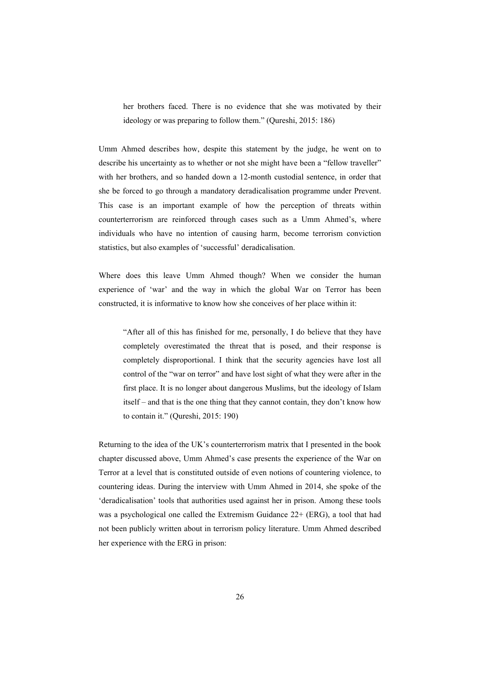her brothers faced. There is no evidence that she was motivated by their ideology or was preparing to follow them." (Qureshi, 2015: 186)

Umm Ahmed describes how, despite this statement by the judge, he went on to describe his uncertainty as to whether or not she might have been a "fellow traveller" with her brothers, and so handed down a 12-month custodial sentence, in order that she be forced to go through a mandatory deradicalisation programme under Prevent. This case is an important example of how the perception of threats within counterterrorism are reinforced through cases such as a Umm Ahmed's, where individuals who have no intention of causing harm, become terrorism conviction statistics, but also examples of 'successful' deradicalisation.

Where does this leave Umm Ahmed though? When we consider the human experience of 'war' and the way in which the global War on Terror has been constructed, it is informative to know how she conceives of her place within it:

"After all of this has finished for me, personally, I do believe that they have completely overestimated the threat that is posed, and their response is completely disproportional. I think that the security agencies have lost all control of the "war on terror" and have lost sight of what they were after in the first place. It is no longer about dangerous Muslims, but the ideology of Islam itself – and that is the one thing that they cannot contain, they don't know how to contain it." (Qureshi, 2015: 190)

Returning to the idea of the UK's counterterrorism matrix that I presented in the book chapter discussed above, Umm Ahmed's case presents the experience of the War on Terror at a level that is constituted outside of even notions of countering violence, to countering ideas. During the interview with Umm Ahmed in 2014, she spoke of the 'deradicalisation' tools that authorities used against her in prison. Among these tools was a psychological one called the Extremism Guidance 22+ (ERG), a tool that had not been publicly written about in terrorism policy literature. Umm Ahmed described her experience with the ERG in prison: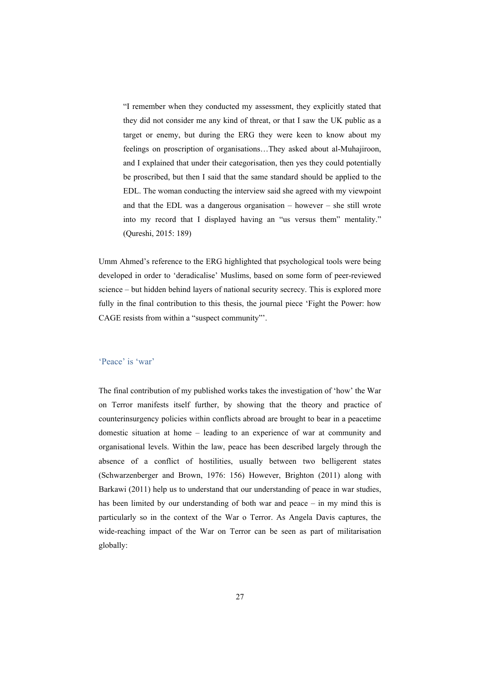"I remember when they conducted my assessment, they explicitly stated that they did not consider me any kind of threat, or that I saw the UK public as a target or enemy, but during the ERG they were keen to know about my feelings on proscription of organisations…They asked about al-Muhajiroon, and I explained that under their categorisation, then yes they could potentially be proscribed, but then I said that the same standard should be applied to the EDL. The woman conducting the interview said she agreed with my viewpoint and that the EDL was a dangerous organisation – however – she still wrote into my record that I displayed having an "us versus them" mentality." (Qureshi, 2015: 189)

Umm Ahmed's reference to the ERG highlighted that psychological tools were being developed in order to 'deradicalise' Muslims, based on some form of peer-reviewed science – but hidden behind layers of national security secrecy. This is explored more fully in the final contribution to this thesis, the journal piece 'Fight the Power: how CAGE resists from within a "suspect community"'.

#### 'Peace' is 'war'

The final contribution of my published works takes the investigation of 'how' the War on Terror manifests itself further, by showing that the theory and practice of counterinsurgency policies within conflicts abroad are brought to bear in a peacetime domestic situation at home – leading to an experience of war at community and organisational levels. Within the law, peace has been described largely through the absence of a conflict of hostilities, usually between two belligerent states (Schwarzenberger and Brown, 1976: 156) However, Brighton (2011) along with Barkawi (2011) help us to understand that our understanding of peace in war studies, has been limited by our understanding of both war and peace – in my mind this is particularly so in the context of the War o Terror. As Angela Davis captures, the wide-reaching impact of the War on Terror can be seen as part of militarisation globally: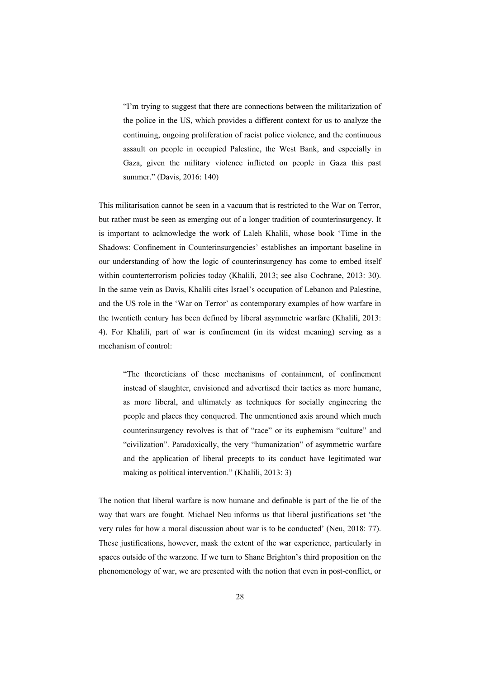"I'm trying to suggest that there are connections between the militarization of the police in the US, which provides a different context for us to analyze the continuing, ongoing proliferation of racist police violence, and the continuous assault on people in occupied Palestine, the West Bank, and especially in Gaza, given the military violence inflicted on people in Gaza this past summer." (Davis, 2016: 140)

This militarisation cannot be seen in a vacuum that is restricted to the War on Terror, but rather must be seen as emerging out of a longer tradition of counterinsurgency. It is important to acknowledge the work of Laleh Khalili, whose book 'Time in the Shadows: Confinement in Counterinsurgencies' establishes an important baseline in our understanding of how the logic of counterinsurgency has come to embed itself within counterterrorism policies today (Khalili, 2013; see also Cochrane, 2013: 30). In the same vein as Davis, Khalili cites Israel's occupation of Lebanon and Palestine, and the US role in the 'War on Terror' as contemporary examples of how warfare in the twentieth century has been defined by liberal asymmetric warfare (Khalili, 2013: 4). For Khalili, part of war is confinement (in its widest meaning) serving as a mechanism of control:

"The theoreticians of these mechanisms of containment, of confinement instead of slaughter, envisioned and advertised their tactics as more humane, as more liberal, and ultimately as techniques for socially engineering the people and places they conquered. The unmentioned axis around which much counterinsurgency revolves is that of "race" or its euphemism "culture" and "civilization". Paradoxically, the very "humanization" of asymmetric warfare and the application of liberal precepts to its conduct have legitimated war making as political intervention." (Khalili, 2013: 3)

The notion that liberal warfare is now humane and definable is part of the lie of the way that wars are fought. Michael Neu informs us that liberal justifications set 'the very rules for how a moral discussion about war is to be conducted' (Neu, 2018: 77). These justifications, however, mask the extent of the war experience, particularly in spaces outside of the warzone. If we turn to Shane Brighton's third proposition on the phenomenology of war, we are presented with the notion that even in post-conflict, or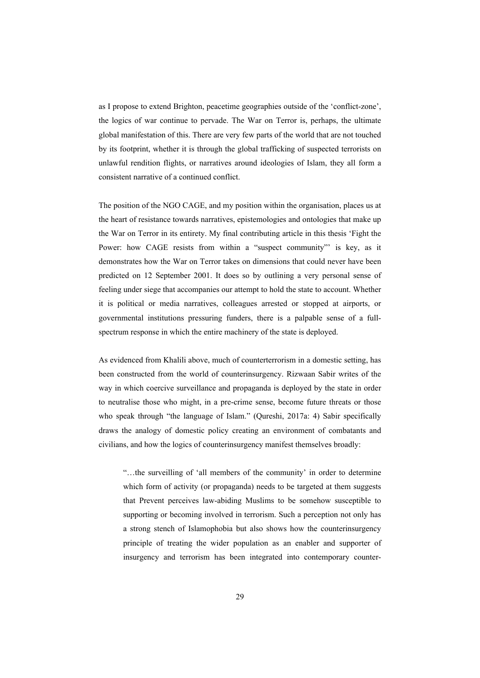as I propose to extend Brighton, peacetime geographies outside of the 'conflict-zone', the logics of war continue to pervade. The War on Terror is, perhaps, the ultimate global manifestation of this. There are very few parts of the world that are not touched by its footprint, whether it is through the global trafficking of suspected terrorists on unlawful rendition flights, or narratives around ideologies of Islam, they all form a consistent narrative of a continued conflict.

The position of the NGO CAGE, and my position within the organisation, places us at the heart of resistance towards narratives, epistemologies and ontologies that make up the War on Terror in its entirety. My final contributing article in this thesis 'Fight the Power: how CAGE resists from within a "suspect community" is key, as it demonstrates how the War on Terror takes on dimensions that could never have been predicted on 12 September 2001. It does so by outlining a very personal sense of feeling under siege that accompanies our attempt to hold the state to account. Whether it is political or media narratives, colleagues arrested or stopped at airports, or governmental institutions pressuring funders, there is a palpable sense of a fullspectrum response in which the entire machinery of the state is deployed.

As evidenced from Khalili above, much of counterterrorism in a domestic setting, has been constructed from the world of counterinsurgency. Rizwaan Sabir writes of the way in which coercive surveillance and propaganda is deployed by the state in order to neutralise those who might, in a pre-crime sense, become future threats or those who speak through "the language of Islam." (Qureshi, 2017a: 4) Sabir specifically draws the analogy of domestic policy creating an environment of combatants and civilians, and how the logics of counterinsurgency manifest themselves broadly:

"…the surveilling of 'all members of the community' in order to determine which form of activity (or propaganda) needs to be targeted at them suggests that Prevent perceives law-abiding Muslims to be somehow susceptible to supporting or becoming involved in terrorism. Such a perception not only has a strong stench of Islamophobia but also shows how the counterinsurgency principle of treating the wider population as an enabler and supporter of insurgency and terrorism has been integrated into contemporary counter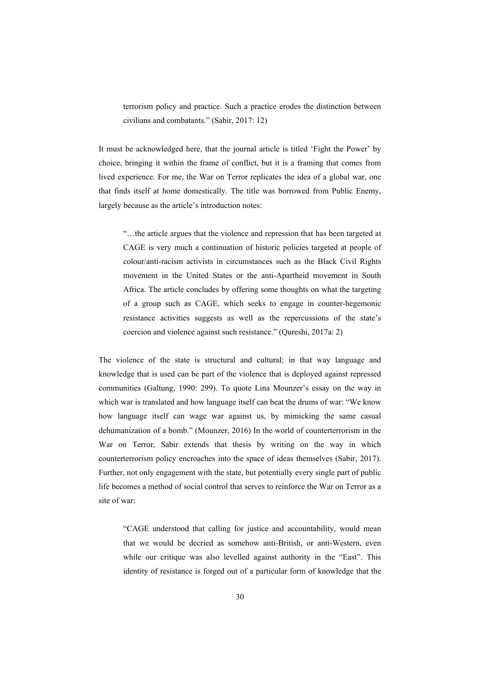terrorism policy and practice. Such a practice erodes the distinction between civilians and combatants." (Sabir, 2017: 12)

It must be acknowledged here, that the journal article is titled 'Fight the Power' by choice, bringing it within the frame of conflict, but it is a framing that comes from lived experience. For me, the War on Terror replicates the idea of a global war, one that finds itself at home domestically. The title was borrowed from Public Enemy, largely because as the article's introduction notes:

"…the article argues that the violence and repression that has been targeted at CAGE is very much a continuation of historic policies targeted at people of colour/anti-racism activists in circumstances such as the Black Civil Rights movement in the United States or the anti-Apartheid movement in South Africa. The article concludes by offering some thoughts on what the targeting of a group such as CAGE, which seeks to engage in counter-hegemonic resistance activities suggests as well as the repercussions of the state's coercion and violence against such resistance." (Qureshi, 2017a: 2)

The violence of the state is structural and cultural; in that way language and knowledge that is used can be part of the violence that is deployed against repressed communities (Galtung, 1990: 299). To quote Lina Mounzer's essay on the way in which war is translated and how language itself can beat the drums of war: "We know how language itself can wage war against us, by mimicking the same casual dehumanization of a bomb." (Mounzer, 2016) In the world of counterterrorism in the War on Terror, Sabir extends that thesis by writing on the way in which counterterrorism policy encroaches into the space of ideas themselves (Sabir, 2017). Further, not only engagement with the state, but potentially every single part of public life becomes a method of social control that serves to reinforce the War on Terror as a site of war:

"CAGE understood that calling for justice and accountability, would mean that we would be decried as somehow anti-British, or anti-Western, even while our critique was also levelled against authority in the "East". This identity of resistance is forged out of a particular form of knowledge that the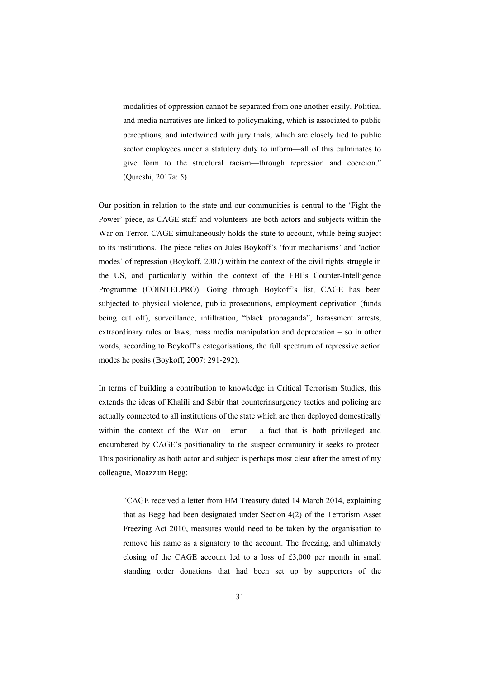modalities of oppression cannot be separated from one another easily. Political and media narratives are linked to policymaking, which is associated to public perceptions, and intertwined with jury trials, which are closely tied to public sector employees under a statutory duty to inform—all of this culminates to give form to the structural racism—through repression and coercion." (Qureshi, 2017a: 5)

Our position in relation to the state and our communities is central to the 'Fight the Power' piece, as CAGE staff and volunteers are both actors and subjects within the War on Terror. CAGE simultaneously holds the state to account, while being subject to its institutions. The piece relies on Jules Boykoff's 'four mechanisms' and 'action modes' of repression (Boykoff, 2007) within the context of the civil rights struggle in the US, and particularly within the context of the FBI's Counter-Intelligence Programme (COINTELPRO). Going through Boykoff's list, CAGE has been subjected to physical violence, public prosecutions, employment deprivation (funds being cut off), surveillance, infiltration, "black propaganda", harassment arrests, extraordinary rules or laws, mass media manipulation and deprecation – so in other words, according to Boykoff's categorisations, the full spectrum of repressive action modes he posits (Boykoff, 2007: 291-292).

In terms of building a contribution to knowledge in Critical Terrorism Studies, this extends the ideas of Khalili and Sabir that counterinsurgency tactics and policing are actually connected to all institutions of the state which are then deployed domestically within the context of the War on Terror – a fact that is both privileged and encumbered by CAGE's positionality to the suspect community it seeks to protect. This positionality as both actor and subject is perhaps most clear after the arrest of my colleague, Moazzam Begg:

"CAGE received a letter from HM Treasury dated 14 March 2014, explaining that as Begg had been designated under Section 4(2) of the Terrorism Asset Freezing Act 2010, measures would need to be taken by the organisation to remove his name as a signatory to the account. The freezing, and ultimately closing of the CAGE account led to a loss of £3,000 per month in small standing order donations that had been set up by supporters of the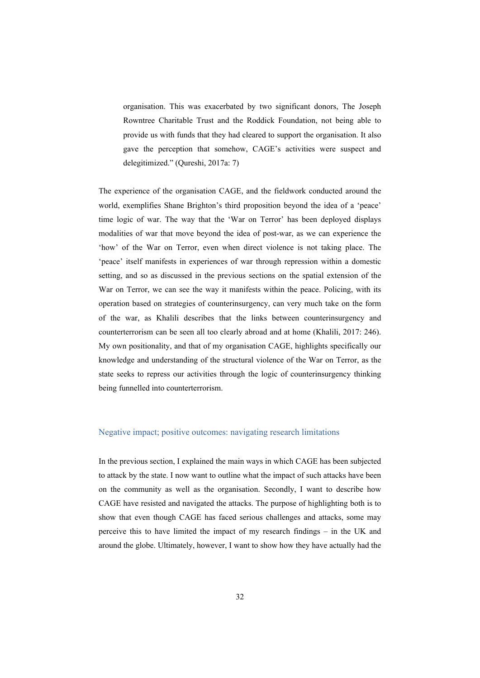organisation. This was exacerbated by two significant donors, The Joseph Rowntree Charitable Trust and the Roddick Foundation, not being able to provide us with funds that they had cleared to support the organisation. It also gave the perception that somehow, CAGE's activities were suspect and delegitimized." (Qureshi, 2017a: 7)

The experience of the organisation CAGE, and the fieldwork conducted around the world, exemplifies Shane Brighton's third proposition beyond the idea of a 'peace' time logic of war. The way that the 'War on Terror' has been deployed displays modalities of war that move beyond the idea of post-war, as we can experience the 'how' of the War on Terror, even when direct violence is not taking place. The 'peace' itself manifests in experiences of war through repression within a domestic setting, and so as discussed in the previous sections on the spatial extension of the War on Terror, we can see the way it manifests within the peace. Policing, with its operation based on strategies of counterinsurgency, can very much take on the form of the war, as Khalili describes that the links between counterinsurgency and counterterrorism can be seen all too clearly abroad and at home (Khalili, 2017: 246). My own positionality, and that of my organisation CAGE, highlights specifically our knowledge and understanding of the structural violence of the War on Terror, as the state seeks to repress our activities through the logic of counterinsurgency thinking being funnelled into counterterrorism.

#### Negative impact; positive outcomes: navigating research limitations

In the previous section, I explained the main ways in which CAGE has been subjected to attack by the state. I now want to outline what the impact of such attacks have been on the community as well as the organisation. Secondly, I want to describe how CAGE have resisted and navigated the attacks. The purpose of highlighting both is to show that even though CAGE has faced serious challenges and attacks, some may perceive this to have limited the impact of my research findings – in the UK and around the globe. Ultimately, however, I want to show how they have actually had the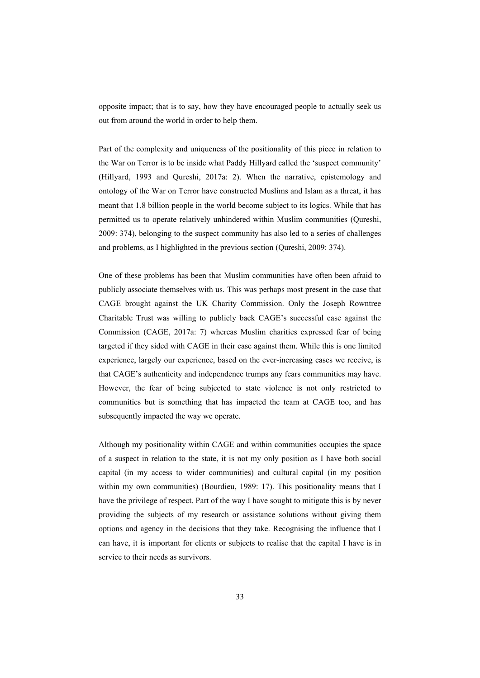opposite impact; that is to say, how they have encouraged people to actually seek us out from around the world in order to help them.

Part of the complexity and uniqueness of the positionality of this piece in relation to the War on Terror is to be inside what Paddy Hillyard called the 'suspect community' (Hillyard, 1993 and Qureshi, 2017a: 2). When the narrative, epistemology and ontology of the War on Terror have constructed Muslims and Islam as a threat, it has meant that 1.8 billion people in the world become subject to its logics. While that has permitted us to operate relatively unhindered within Muslim communities (Qureshi, 2009: 374), belonging to the suspect community has also led to a series of challenges and problems, as I highlighted in the previous section (Qureshi, 2009: 374).

One of these problems has been that Muslim communities have often been afraid to publicly associate themselves with us. This was perhaps most present in the case that CAGE brought against the UK Charity Commission. Only the Joseph Rowntree Charitable Trust was willing to publicly back CAGE's successful case against the Commission (CAGE, 2017a: 7) whereas Muslim charities expressed fear of being targeted if they sided with CAGE in their case against them. While this is one limited experience, largely our experience, based on the ever-increasing cases we receive, is that CAGE's authenticity and independence trumps any fears communities may have. However, the fear of being subjected to state violence is not only restricted to communities but is something that has impacted the team at CAGE too, and has subsequently impacted the way we operate.

Although my positionality within CAGE and within communities occupies the space of a suspect in relation to the state, it is not my only position as I have both social capital (in my access to wider communities) and cultural capital (in my position within my own communities) (Bourdieu, 1989: 17). This positionality means that I have the privilege of respect. Part of the way I have sought to mitigate this is by never providing the subjects of my research or assistance solutions without giving them options and agency in the decisions that they take. Recognising the influence that I can have, it is important for clients or subjects to realise that the capital I have is in service to their needs as survivors.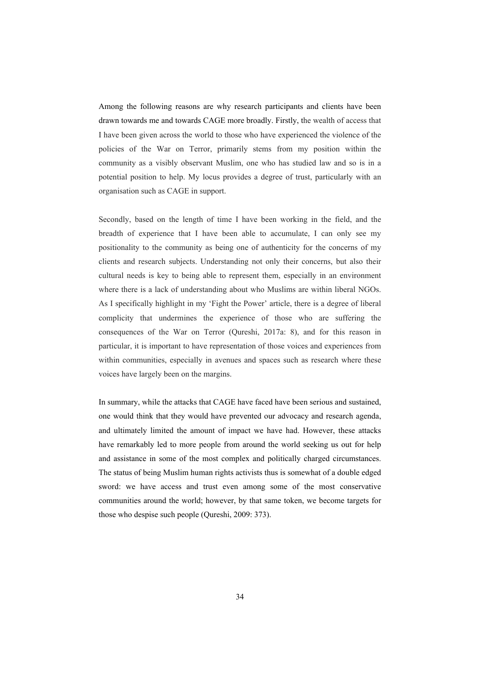Among the following reasons are why research participants and clients have been drawn towards me and towards CAGE more broadly. Firstly, the wealth of access that I have been given across the world to those who have experienced the violence of the policies of the War on Terror, primarily stems from my position within the community as a visibly observant Muslim, one who has studied law and so is in a potential position to help. My locus provides a degree of trust, particularly with an organisation such as CAGE in support.

Secondly, based on the length of time I have been working in the field, and the breadth of experience that I have been able to accumulate, I can only see my positionality to the community as being one of authenticity for the concerns of my clients and research subjects. Understanding not only their concerns, but also their cultural needs is key to being able to represent them, especially in an environment where there is a lack of understanding about who Muslims are within liberal NGOs. As I specifically highlight in my 'Fight the Power' article, there is a degree of liberal complicity that undermines the experience of those who are suffering the consequences of the War on Terror (Qureshi, 2017a: 8), and for this reason in particular, it is important to have representation of those voices and experiences from within communities, especially in avenues and spaces such as research where these voices have largely been on the margins.

In summary, while the attacks that CAGE have faced have been serious and sustained, one would think that they would have prevented our advocacy and research agenda, and ultimately limited the amount of impact we have had. However, these attacks have remarkably led to more people from around the world seeking us out for help and assistance in some of the most complex and politically charged circumstances. The status of being Muslim human rights activists thus is somewhat of a double edged sword: we have access and trust even among some of the most conservative communities around the world; however, by that same token, we become targets for those who despise such people (Qureshi, 2009: 373).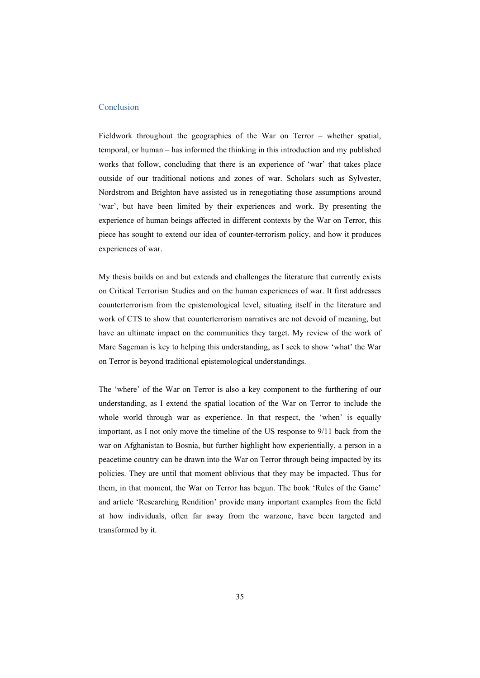#### Conclusion

Fieldwork throughout the geographies of the War on Terror – whether spatial, temporal, or human – has informed the thinking in this introduction and my published works that follow, concluding that there is an experience of 'war' that takes place outside of our traditional notions and zones of war. Scholars such as Sylvester, Nordstrom and Brighton have assisted us in renegotiating those assumptions around 'war', but have been limited by their experiences and work. By presenting the experience of human beings affected in different contexts by the War on Terror, this piece has sought to extend our idea of counter-terrorism policy, and how it produces experiences of war.

My thesis builds on and but extends and challenges the literature that currently exists on Critical Terrorism Studies and on the human experiences of war. It first addresses counterterrorism from the epistemological level, situating itself in the literature and work of CTS to show that counterterrorism narratives are not devoid of meaning, but have an ultimate impact on the communities they target. My review of the work of Marc Sageman is key to helping this understanding, as I seek to show 'what' the War on Terror is beyond traditional epistemological understandings.

The 'where' of the War on Terror is also a key component to the furthering of our understanding, as I extend the spatial location of the War on Terror to include the whole world through war as experience. In that respect, the 'when' is equally important, as I not only move the timeline of the US response to 9/11 back from the war on Afghanistan to Bosnia, but further highlight how experientially, a person in a peacetime country can be drawn into the War on Terror through being impacted by its policies. They are until that moment oblivious that they may be impacted. Thus for them, in that moment, the War on Terror has begun. The book 'Rules of the Game' and article 'Researching Rendition' provide many important examples from the field at how individuals, often far away from the warzone, have been targeted and transformed by it.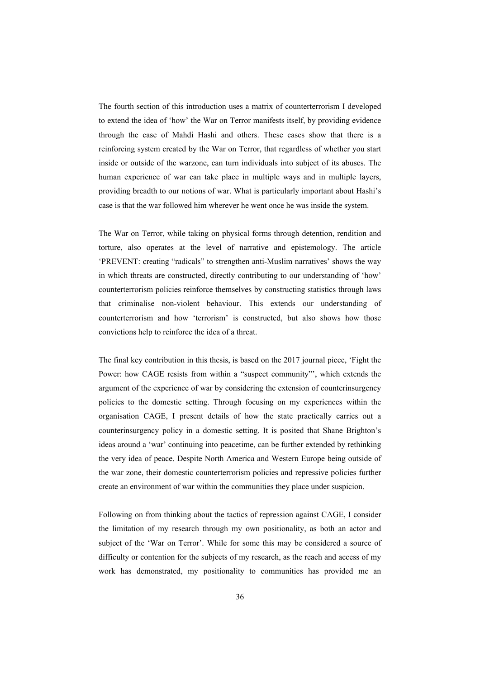The fourth section of this introduction uses a matrix of counterterrorism I developed to extend the idea of 'how' the War on Terror manifests itself, by providing evidence through the case of Mahdi Hashi and others. These cases show that there is a reinforcing system created by the War on Terror, that regardless of whether you start inside or outside of the warzone, can turn individuals into subject of its abuses. The human experience of war can take place in multiple ways and in multiple layers, providing breadth to our notions of war. What is particularly important about Hashi's case is that the war followed him wherever he went once he was inside the system.

The War on Terror, while taking on physical forms through detention, rendition and torture, also operates at the level of narrative and epistemology. The article 'PREVENT: creating "radicals" to strengthen anti-Muslim narratives' shows the way in which threats are constructed, directly contributing to our understanding of 'how' counterterrorism policies reinforce themselves by constructing statistics through laws that criminalise non-violent behaviour. This extends our understanding of counterterrorism and how 'terrorism' is constructed, but also shows how those convictions help to reinforce the idea of a threat.

The final key contribution in this thesis, is based on the 2017 journal piece, 'Fight the Power: how CAGE resists from within a "suspect community"', which extends the argument of the experience of war by considering the extension of counterinsurgency policies to the domestic setting. Through focusing on my experiences within the organisation CAGE, I present details of how the state practically carries out a counterinsurgency policy in a domestic setting. It is posited that Shane Brighton's ideas around a 'war' continuing into peacetime, can be further extended by rethinking the very idea of peace. Despite North America and Western Europe being outside of the war zone, their domestic counterterrorism policies and repressive policies further create an environment of war within the communities they place under suspicion.

Following on from thinking about the tactics of repression against CAGE, I consider the limitation of my research through my own positionality, as both an actor and subject of the 'War on Terror'. While for some this may be considered a source of difficulty or contention for the subjects of my research, as the reach and access of my work has demonstrated, my positionality to communities has provided me an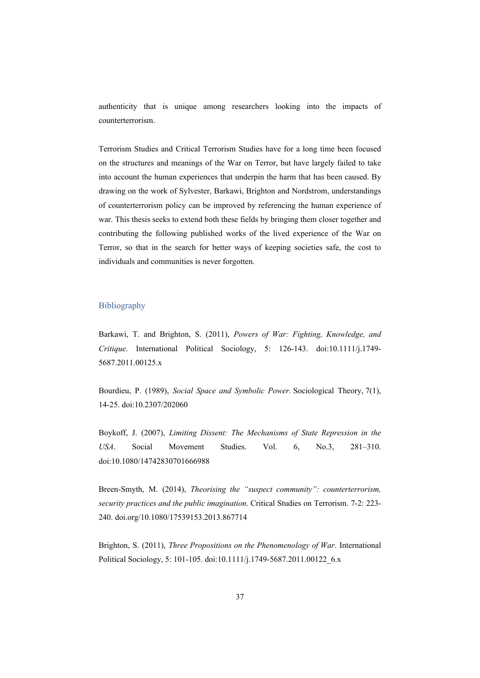authenticity that is unique among researchers looking into the impacts of counterterrorism.

Terrorism Studies and Critical Terrorism Studies have for a long time been focused on the structures and meanings of the War on Terror, but have largely failed to take into account the human experiences that underpin the harm that has been caused. By drawing on the work of Sylvester, Barkawi, Brighton and Nordstrom, understandings of counterterrorism policy can be improved by referencing the human experience of war. This thesis seeks to extend both these fields by bringing them closer together and contributing the following published works of the lived experience of the War on Terror, so that in the search for better ways of keeping societies safe, the cost to individuals and communities is never forgotten.

#### Bibliography

Barkawi, T. and Brighton, S. (2011), *Powers of War: Fighting, Knowledge, and Critique*. International Political Sociology, 5: 126-143. doi:10.1111/j.1749- 5687.2011.00125.x

Bourdieu, P. (1989), *Social Space and Symbolic Power.* Sociological Theory, 7(1), 14-25. doi:10.2307/202060

Boykoff, J. (2007), *Limiting Dissent: The Mechanisms of State Repression in the USA*. Social Movement Studies. Vol. 6, No.3, 281–310. doi:10.1080/14742830701666988

Breen-Smyth, M. (2014), *Theorising the "suspect community": counterterrorism, security practices and the public imagination*. Critical Studies on Terrorism. 7-2: 223- 240. doi.org/10.1080/17539153.2013.867714

Brighton, S. (2011), *Three Propositions on the Phenomenology of War*. International Political Sociology, 5: 101-105. doi:10.1111/j.1749-5687.2011.00122\_6.x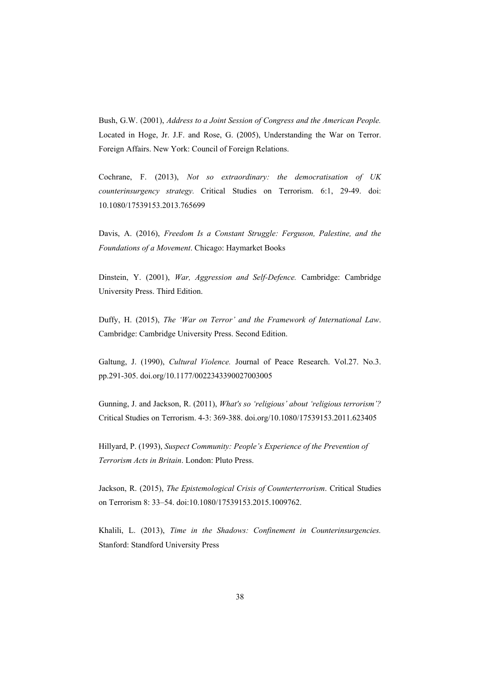Bush, G.W. (2001), *Address to a Joint Session of Congress and the American People.* Located in Hoge, Jr. J.F. and Rose, G. (2005), Understanding the War on Terror. Foreign Affairs. New York: Council of Foreign Relations.

Cochrane, F. (2013), *Not so extraordinary: the democratisation of UK counterinsurgency strategy.* Critical Studies on Terrorism. 6:1, 29-49. doi: 10.1080/17539153.2013.765699

Davis, A. (2016), *Freedom Is a Constant Struggle: Ferguson, Palestine, and the Foundations of a Movement*. Chicago: Haymarket Books

Dinstein, Y. (2001), *War, Aggression and Self-Defence.* Cambridge: Cambridge University Press. Third Edition.

Duffy, H. (2015), *The 'War on Terror' and the Framework of International Law*. Cambridge: Cambridge University Press. Second Edition.

Galtung, J. (1990), *Cultural Violence.* Journal of Peace Research. Vol.27. No.3. pp.291-305. doi.org/10.1177/0022343390027003005

Gunning, J. and Jackson, R. (2011), *What's so 'religious' about 'religious terrorism'?* Critical Studies on Terrorism. 4-3: 369-388. doi.org/10.1080/17539153.2011.623405

Hillyard, P. (1993), *Suspect Community: People's Experience of the Prevention of Terrorism Acts in Britain*. London: Pluto Press.

Jackson, R. (2015), *The Epistemological Crisis of Counterterrorism*. Critical Studies on Terrorism 8: 33–54. doi:10.1080/17539153.2015.1009762.

Khalili, L. (2013), *Time in the Shadows: Confinement in Counterinsurgencies.* Stanford: Standford University Press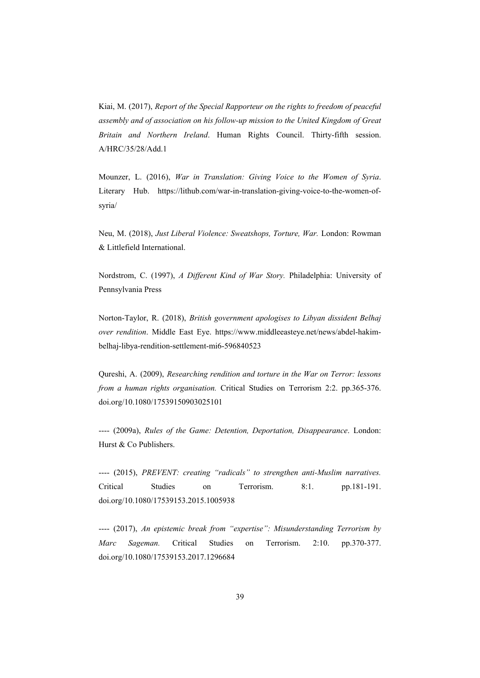Kiai, M. (2017), *Report of the Special Rapporteur on the rights to freedom of peaceful assembly and of association on his follow-up mission to the United Kingdom of Great Britain and Northern Ireland*. Human Rights Council. Thirty-fifth session. A/HRC/35/28/Add.1

Mounzer, L. (2016), *War in Translation: Giving Voice to the Women of Syria*. Literary Hub. https://lithub.com/war-in-translation-giving-voice-to-the-women-ofsyria/

Neu, M. (2018), *Just Liberal Violence: Sweatshops, Torture, War.* London: Rowman & Littlefield International.

Nordstrom, C. (1997), *A Different Kind of War Story.* Philadelphia: University of Pennsylvania Press

Norton-Taylor, R. (2018), *British government apologises to Libyan dissident Belhaj over rendition*. Middle East Eye. https://www.middleeasteye.net/news/abdel-hakimbelhaj-libya-rendition-settlement-mi6-596840523

Qureshi, A. (2009), *Researching rendition and torture in the War on Terror: lessons from a human rights organisation.* Critical Studies on Terrorism 2:2. pp.365-376. doi.org/10.1080/17539150903025101

---- (2009a), *Rules of the Game: Detention, Deportation, Disappearance*. London: Hurst & Co Publishers.

---- (2015), *PREVENT: creating "radicals" to strengthen anti-Muslim narratives.* Critical Studies on Terrorism. 8:1. pp.181-191. doi.org/10.1080/17539153.2015.1005938

---- (2017), *An epistemic break from "expertise": Misunderstanding Terrorism by Marc Sageman.* Critical Studies on Terrorism. 2:10. pp.370-377. doi.org/10.1080/17539153.2017.1296684